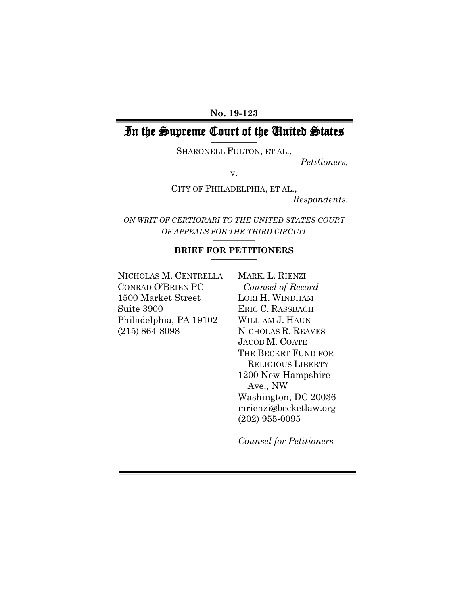#### **No. 19-123**

#### In the Supreme Court of the United States **\_\_\_\_\_\_\_\_\_\_**

SHARONELL FULTON, ET AL.,

*Petitioners,*

v.

CITY OF PHILADELPHIA, ET AL.,

*Respondents.*

*ON WRIT OF CERTIORARI TO THE UNITED STATES COURT OF APPEALS FOR THE THIRD CIRCUIT* **\_\_\_\_\_\_\_\_\_\_**

**\_\_\_\_\_\_\_\_\_\_**

# **BRIEF FOR PETITIONERS \_\_\_\_\_\_\_\_\_\_**

NICHOLAS M. CENTRELLA MARK. L. RIENZI CONRAD O'BRIEN PC *Counsel of Record* 1500 Market Street LORI H. WINDHAM Suite 3900 ERIC C. RASSBACH Philadelphia, PA 19102 WILLIAM J. HAUN (215) 864-8098 NICHOLAS R. REAVES

JACOB M. COATE THE BECKET FUND FOR RELIGIOUS LIBERTY 1200 New Hampshire Ave., NW Washington, DC 20036 mrienzi@becketlaw.org (202) 955-0095

*Counsel for Petitioners*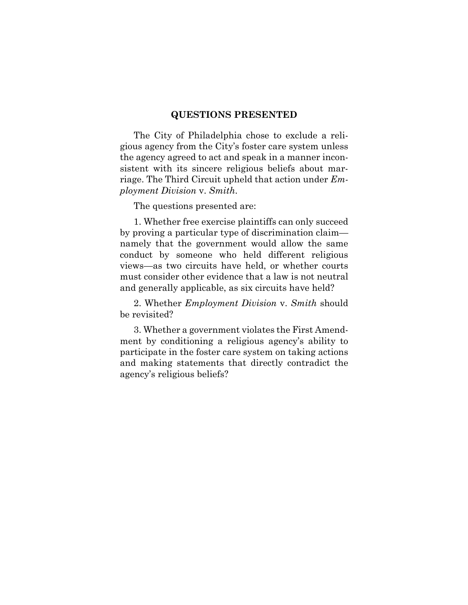## **QUESTIONS PRESENTED**

The City of Philadelphia chose to exclude a religious agency from the City's foster care system unless the agency agreed to act and speak in a manner inconsistent with its sincere religious beliefs about marriage. The Third Circuit upheld that action under *Employment Division* v. *Smith*.

The questions presented are:

1. Whether free exercise plaintiffs can only succeed by proving a particular type of discrimination claim namely that the government would allow the same conduct by someone who held different religious views—as two circuits have held, or whether courts must consider other evidence that a law is not neutral and generally applicable, as six circuits have held?

2. Whether *Employment Division* v. *Smith* should be revisited?

3. Whether a government violates the First Amendment by conditioning a religious agency's ability to participate in the foster care system on taking actions and making statements that directly contradict the agency's religious beliefs?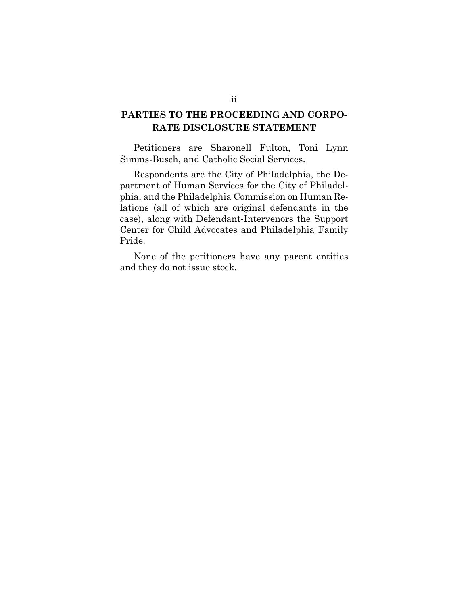## **PARTIES TO THE PROCEEDING AND CORPO-RATE DISCLOSURE STATEMENT**

Petitioners are Sharonell Fulton, Toni Lynn Simms-Busch, and Catholic Social Services.

Respondents are the City of Philadelphia, the Department of Human Services for the City of Philadelphia, and the Philadelphia Commission on Human Relations (all of which are original defendants in the case), along with Defendant-Intervenors the Support Center for Child Advocates and Philadelphia Family Pride.

None of the petitioners have any parent entities and they do not issue stock.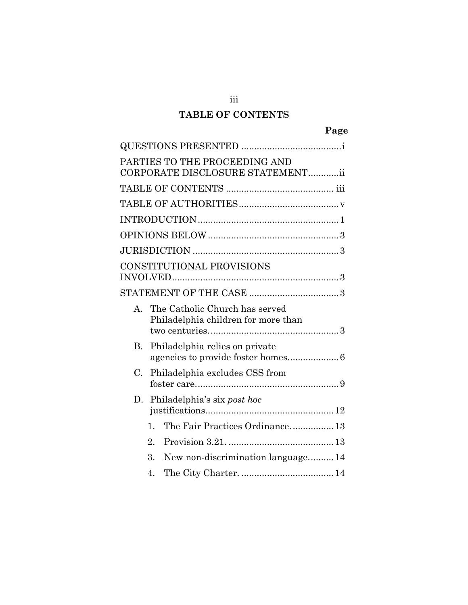## **TABLE OF CONTENTS**

iii

|             |              | PARTIES TO THE PROCEEDING AND<br>CORPORATE DISCLOSURE STATEMENTii     |  |
|-------------|--------------|-----------------------------------------------------------------------|--|
|             |              |                                                                       |  |
|             |              |                                                                       |  |
|             |              |                                                                       |  |
|             |              |                                                                       |  |
|             |              |                                                                       |  |
|             |              | CONSTITUTIONAL PROVISIONS                                             |  |
|             |              |                                                                       |  |
| $A_{-}$     |              | The Catholic Church has served<br>Philadelphia children for more than |  |
| B.          |              | Philadelphia relies on private                                        |  |
| $C_{\cdot}$ |              | Philadelphia excludes CSS from                                        |  |
| D.          |              | Philadelphia's six post hoc                                           |  |
|             | $\mathbf{1}$ | The Fair Practices Ordinance 13                                       |  |
|             | 2.           |                                                                       |  |
|             | 3.           | New non-discrimination language 14                                    |  |
|             | 4.           |                                                                       |  |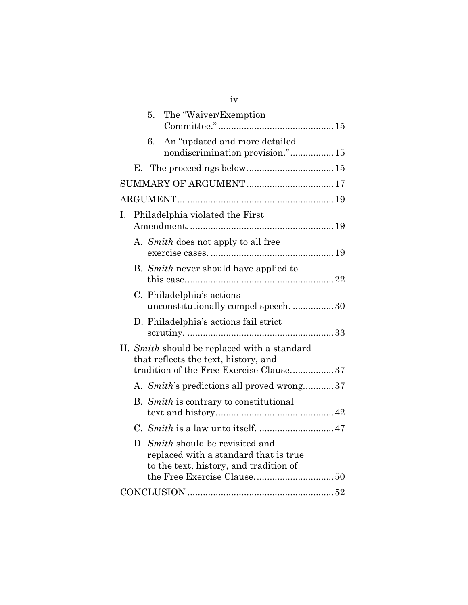|    |    | 5. | The "Waiver/Exemption                                                                                                           |  |
|----|----|----|---------------------------------------------------------------------------------------------------------------------------------|--|
|    |    | 6. | An "updated and more detailed<br>nondiscrimination provision." 15                                                               |  |
|    | Е. |    |                                                                                                                                 |  |
|    |    |    |                                                                                                                                 |  |
|    |    |    |                                                                                                                                 |  |
| I. |    |    | Philadelphia violated the First                                                                                                 |  |
|    |    |    | A. Smith does not apply to all free                                                                                             |  |
|    |    |    | B. Smith never should have applied to                                                                                           |  |
|    |    |    | C. Philadelphia's actions<br>unconstitutionally compel speech.  30                                                              |  |
|    |    |    | D. Philadelphia's actions fail strict                                                                                           |  |
|    |    |    | II. Smith should be replaced with a standard<br>that reflects the text, history, and<br>tradition of the Free Exercise Clause37 |  |
|    |    |    | A. Smith's predictions all proved wrong37                                                                                       |  |
|    |    |    | B. Smith is contrary to constitutional                                                                                          |  |
|    |    |    |                                                                                                                                 |  |
|    |    |    | D. Smith should be revisited and<br>replaced with a standard that is true<br>to the text, history, and tradition of             |  |
|    |    |    |                                                                                                                                 |  |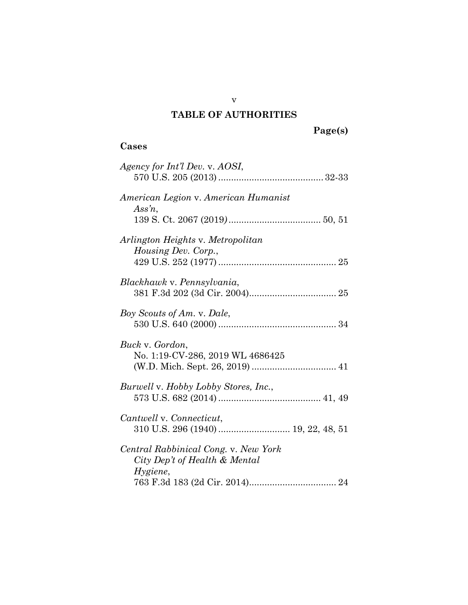## **TABLE OF AUTHORITIES**

# **Cases**

| Agency for Int'l Dev. v. AOSI,                                                    |
|-----------------------------------------------------------------------------------|
| American Legion v. American Humanist<br>Assn,                                     |
| Arlington Heights v. Metropolitan<br><i>Housing Dev. Corp.,</i>                   |
| Blackhawk v. Pennsylvania,                                                        |
| Boy Scouts of Am. v. Dale,                                                        |
| Buck v. Gordon,<br>No. 1:19-CV-286, 2019 WL 4686425                               |
| Burwell v. Hobby Lobby Stores, Inc.,                                              |
| Cantwell v. Connecticut,                                                          |
| Central Rabbinical Cong. v. New York<br>City Dep't of Health & Mental<br>Hygiene, |

v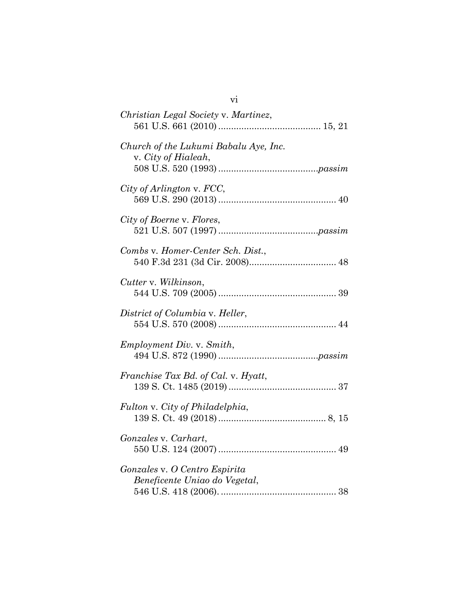| Christian Legal Society v. Martinez,                           |
|----------------------------------------------------------------|
| Church of the Lukumi Babalu Aye, Inc.<br>v. City of Hialeah,   |
| City of Arlington v. FCC,                                      |
| City of Boerne v. Flores,                                      |
| Combs v. Homer-Center Sch. Dist.,                              |
| Cutter v. Wilkinson,                                           |
| District of Columbia v. Heller,                                |
| <i>Employment Div. v. Smith,</i>                               |
| Franchise Tax Bd. of Cal. v. Hyatt,                            |
| Fulton v. City of Philadelphia,                                |
| Gonzales v. Carhart,                                           |
| Gonzales v. O Centro Espirita<br>Beneficente Uniao do Vegetal, |
|                                                                |

vi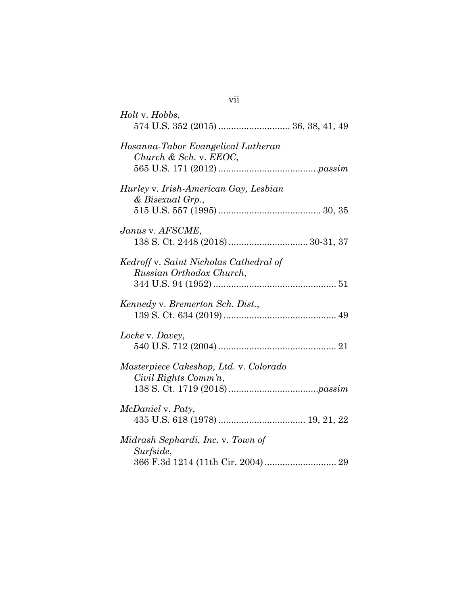| <i>Holt</i> v. <i>Hobbs</i> ,                                      |
|--------------------------------------------------------------------|
| Hosanna-Tabor Evangelical Lutheran<br>Church & Sch. v. EEOC,       |
| Hurley v. Irish-American Gay, Lesbian<br>& Bisexual Grp.,          |
| Janus v. AFSCME,                                                   |
| Kedroff v. Saint Nicholas Cathedral of<br>Russian Orthodox Church, |
| Kennedy v. Bremerton Sch. Dist.,                                   |
| Locke v. Davey,                                                    |
| Masterpiece Cakeshop, Ltd. v. Colorado<br>Civil Rights Comm'n,     |
| <i>McDaniel</i> v. Paty,                                           |
| Midrash Sephardi, Inc. v. Town of<br>Surfside,                     |

# vii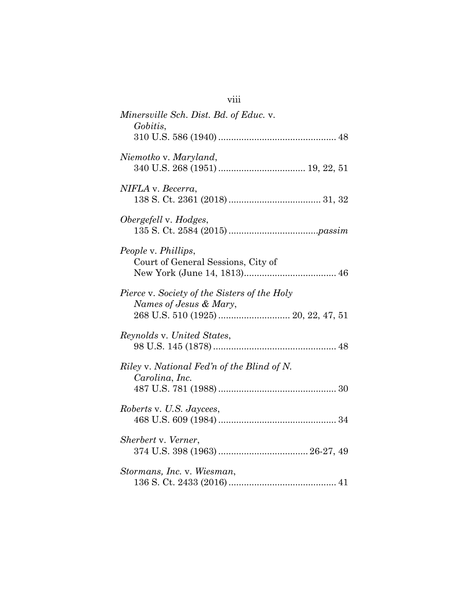| Minersville Sch. Dist. Bd. of Educ. v.<br>Gobitis,                     |
|------------------------------------------------------------------------|
|                                                                        |
| Niemotko v. Maryland,                                                  |
| NIFLA v. Becerra,                                                      |
| Obergefell v. Hodges,                                                  |
| People v. Phillips,<br>Court of General Sessions, City of              |
| Pierce v. Society of the Sisters of the Holy<br>Names of Jesus & Mary, |
| Reynolds v. United States,                                             |
| Riley v. National Fed'n of the Blind of N.<br>Carolina, Inc.           |
| Roberts v. U.S. Jaycees,                                               |
| Sherbert v. Verner,                                                    |
| Stormans, Inc. v. Wiesman,                                             |

viii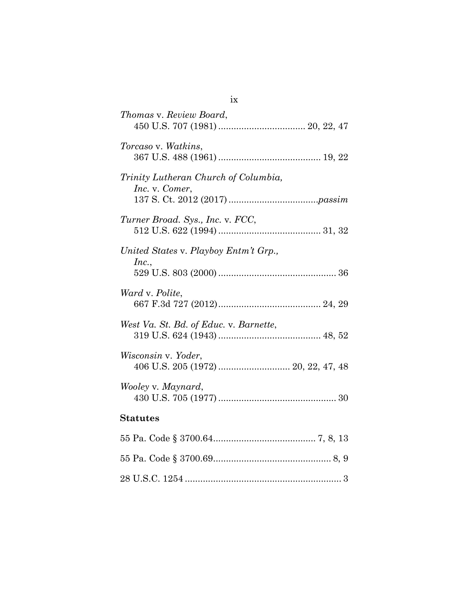| Thomas v. Review Board,                                    |
|------------------------------------------------------------|
| Torcaso v. Watkins,                                        |
| Trinity Lutheran Church of Columbia,<br>Inc. v. Comer,     |
| Turner Broad. Sys., Inc. v. FCC,                           |
| United States v. Playboy Entm't Grp.,<br>Inc.,             |
| Ward v. Polite,                                            |
| West Va. St. Bd. of Educ. v. Barnette,                     |
| Wisconsin v. Yoder,<br>406 U.S. 205 (1972)  20, 22, 47, 48 |
| Wooley v. Maynard,                                         |
| <b>Statutes</b>                                            |
|                                                            |
|                                                            |
|                                                            |

ix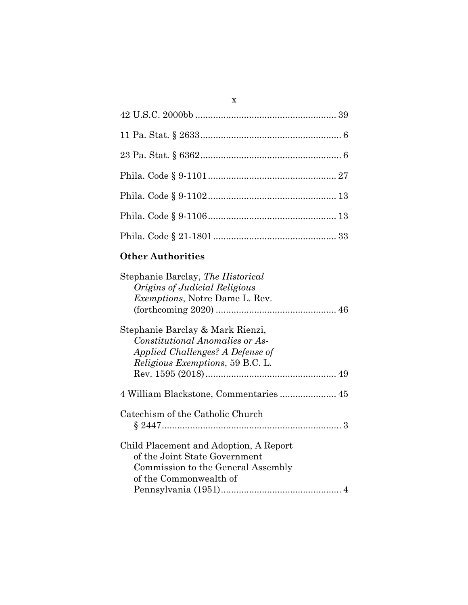## **Other Authorities**

x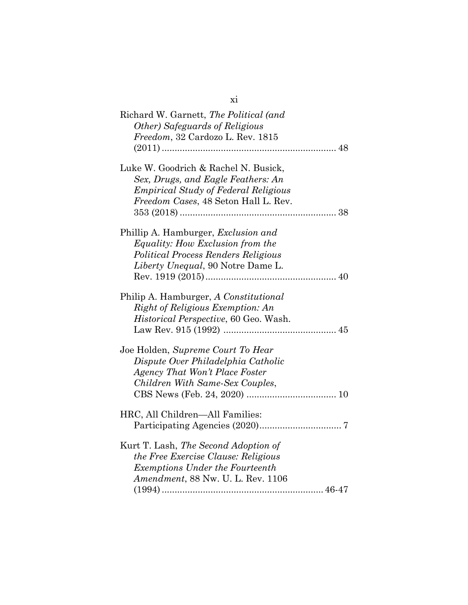| Richard W. Garnett, The Political (and<br>Other) Safeguards of Religious<br>Freedom, 32 Cardozo L. Rev. 1815                                                      |
|-------------------------------------------------------------------------------------------------------------------------------------------------------------------|
| Luke W. Goodrich & Rachel N. Busick,<br>Sex, Drugs, and Eagle Feathers: An<br><i>Empirical Study of Federal Religious</i><br>Freedom Cases, 48 Seton Hall L. Rev. |
| Phillip A. Hamburger, Exclusion and<br>Equality: How Exclusion from the<br>Political Process Renders Religious<br>Liberty Unequal, 90 Notre Dame L.               |
| Philip A. Hamburger, A Constitutional<br>Right of Religious Exemption: An<br>Historical Perspective, 60 Geo. Wash.                                                |
| Joe Holden, Supreme Court To Hear<br>Dispute Over Philadelphia Catholic<br>Agency That Won't Place Foster<br>Children With Same-Sex Couples,                      |
| HRC, All Children-All Families:                                                                                                                                   |
| Kurt T. Lash, The Second Adoption of<br>the Free Exercise Clause: Religious<br><b>Exemptions Under the Fourteenth</b><br>Amendment, 88 Nw. U. L. Rev. 1106        |

xi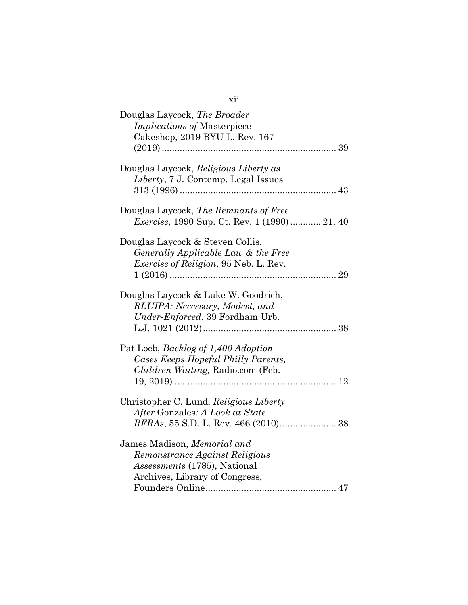| Douglas Laycock, The Broader<br><i>Implications of Masterpiece</i><br>Cakeshop, 2019 BYU L. Rev. 167                            |
|---------------------------------------------------------------------------------------------------------------------------------|
| Douglas Laycock, Religious Liberty as<br>Liberty, 7 J. Contemp. Legal Issues                                                    |
| Douglas Laycock, The Remnants of Free<br><i>Exercise</i> , 1990 Sup. Ct. Rev. 1 (1990) 21, 40                                   |
| Douglas Laycock & Steven Collis,<br>Generally Applicable Law & the Free<br><i>Exercise of Religion</i> , 95 Neb. L. Rev.        |
| Douglas Laycock & Luke W. Goodrich,<br>RLUIPA: Necessary, Modest, and<br>Under-Enforced, 39 Fordham Urb.                        |
| Pat Loeb, Backlog of 1,400 Adoption<br>Cases Keeps Hopeful Philly Parents,<br>Children Waiting, Radio.com (Feb.                 |
| Christopher C. Lund, Religious Liberty<br>After Gonzales: A Look at State                                                       |
| James Madison, Memorial and<br>Remonstrance Against Religious<br>Assessments (1785), National<br>Archives, Library of Congress, |

## xii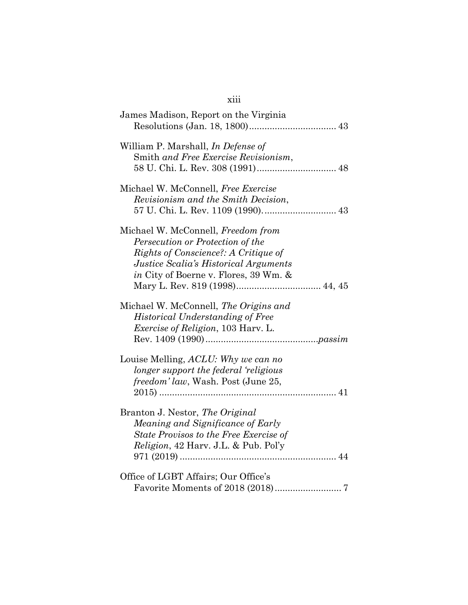| James Madison, Report on the Virginia                                                                                                                                                                      |
|------------------------------------------------------------------------------------------------------------------------------------------------------------------------------------------------------------|
| William P. Marshall, In Defense of<br>Smith and Free Exercise Revisionism,                                                                                                                                 |
| Michael W. McConnell, Free Exercise<br>Revisionism and the Smith Decision,                                                                                                                                 |
| Michael W. McConnell, Freedom from<br>Persecution or Protection of the<br>Rights of Conscience?: A Critique of<br>Justice Scalia's Historical Arguments<br><i>in</i> City of Boerne v. Flores, 39 Wm. $\&$ |
| Michael W. McConnell, The Origins and<br><b>Historical Understanding of Free</b><br><i>Exercise of Religion</i> , 103 Harv. L.                                                                             |
| Louise Melling, ACLU: Why we can no<br>longer support the federal 'religious<br>freedom' law, Wash. Post (June 25,                                                                                         |
| Branton J. Nestor, The Original<br>Meaning and Significance of Early<br>State Provisos to the Free Exercise of<br>Religion, 42 Harv. J.L. & Pub. Pol'y                                                     |
| Office of LGBT Affairs; Our Office's                                                                                                                                                                       |

xiii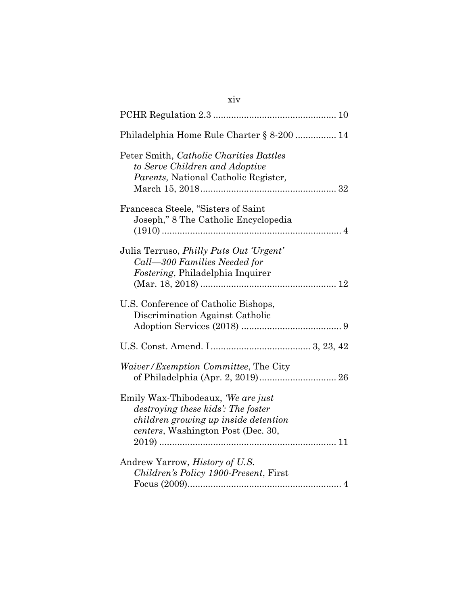| xiv                                                                                                                                                   |
|-------------------------------------------------------------------------------------------------------------------------------------------------------|
|                                                                                                                                                       |
| Philadelphia Home Rule Charter § 8-200  14                                                                                                            |
| Peter Smith, Catholic Charities Battles<br>to Serve Children and Adoptive<br>Parents, National Catholic Register,                                     |
| Francesca Steele, "Sisters of Saint<br>Joseph," 8 The Catholic Encyclopedia                                                                           |
| Julia Terruso, <i>Philly Puts Out 'Urgent'</i><br>Call-300 Families Needed for<br>Fostering, Philadelphia Inquirer                                    |
| U.S. Conference of Catholic Bishops,<br>Discrimination Against Catholic                                                                               |
|                                                                                                                                                       |
| <i>Waiver/Exemption Committee, The City</i>                                                                                                           |
| Emily Wax-Thibodeaux, We are just<br>destroying these kids': The foster<br>children growing up inside detention<br>centers, Washington Post (Dec. 30, |
| Andrew Yarrow, History of U.S.<br>Children's Policy 1900-Present, First                                                                               |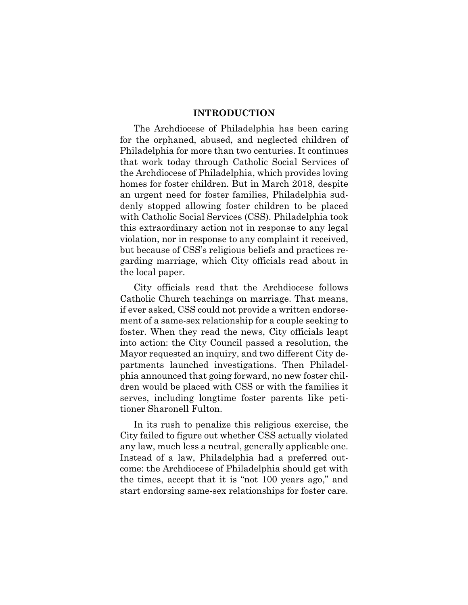#### **INTRODUCTION**

The Archdiocese of Philadelphia has been caring for the orphaned, abused, and neglected children of Philadelphia for more than two centuries. It continues that work today through Catholic Social Services of the Archdiocese of Philadelphia, which provides loving homes for foster children. But in March 2018, despite an urgent need for foster families, Philadelphia suddenly stopped allowing foster children to be placed with Catholic Social Services (CSS). Philadelphia took this extraordinary action not in response to any legal violation, nor in response to any complaint it received, but because of CSS's religious beliefs and practices regarding marriage, which City officials read about in the local paper.

City officials read that the Archdiocese follows Catholic Church teachings on marriage. That means, if ever asked, CSS could not provide a written endorsement of a same-sex relationship for a couple seeking to foster. When they read the news, City officials leapt into action: the City Council passed a resolution, the Mayor requested an inquiry, and two different City departments launched investigations. Then Philadelphia announced that going forward, no new foster children would be placed with CSS or with the families it serves, including longtime foster parents like petitioner Sharonell Fulton.

In its rush to penalize this religious exercise, the City failed to figure out whether CSS actually violated any law, much less a neutral, generally applicable one. Instead of a law, Philadelphia had a preferred outcome: the Archdiocese of Philadelphia should get with the times, accept that it is "not 100 years ago," and start endorsing same-sex relationships for foster care.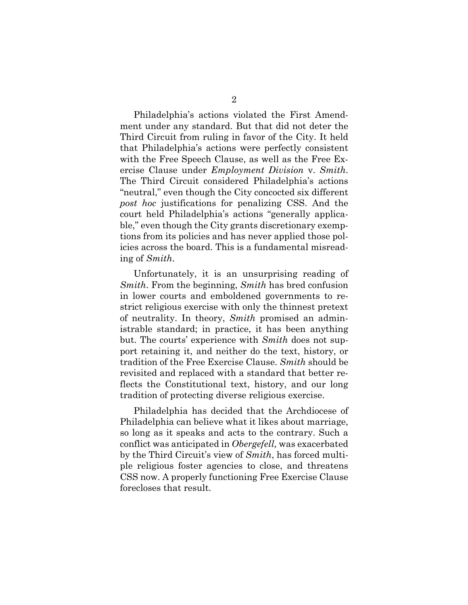Philadelphia's actions violated the First Amendment under any standard. But that did not deter the Third Circuit from ruling in favor of the City. It held that Philadelphia's actions were perfectly consistent with the Free Speech Clause, as well as the Free Exercise Clause under *Employment Division* v. *Smith*. The Third Circuit considered Philadelphia's actions "neutral," even though the City concocted six different *post hoc* justifications for penalizing CSS. And the court held Philadelphia's actions "generally applicable," even though the City grants discretionary exemptions from its policies and has never applied those policies across the board. This is a fundamental misreading of *Smith*.

Unfortunately, it is an unsurprising reading of *Smith*. From the beginning, *Smith* has bred confusion in lower courts and emboldened governments to restrict religious exercise with only the thinnest pretext of neutrality. In theory, *Smith* promised an administrable standard; in practice, it has been anything but. The courts' experience with *Smith* does not support retaining it, and neither do the text, history, or tradition of the Free Exercise Clause. *Smith* should be revisited and replaced with a standard that better reflects the Constitutional text, history, and our long tradition of protecting diverse religious exercise.

Philadelphia has decided that the Archdiocese of Philadelphia can believe what it likes about marriage, so long as it speaks and acts to the contrary. Such a conflict was anticipated in *Obergefell,* was exacerbated by the Third Circuit's view of *Smith*, has forced multiple religious foster agencies to close, and threatens CSS now. A properly functioning Free Exercise Clause forecloses that result.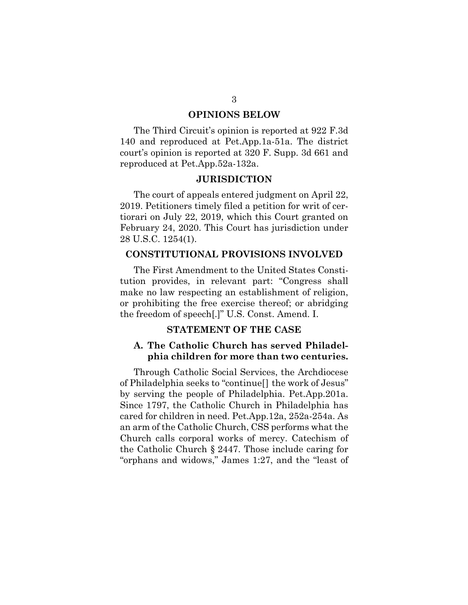#### **OPINIONS BELOW**

The Third Circuit's opinion is reported at 922 F.3d 140 and reproduced at Pet.App.1a-51a. The district court's opinion is reported at 320 F. Supp. 3d 661 and reproduced at Pet.App.52a-132a.

#### **JURISDICTION**

The court of appeals entered judgment on April 22, 2019. Petitioners timely filed a petition for writ of certiorari on July 22, 2019, which this Court granted on February 24, 2020. This Court has jurisdiction under 28 U.S.C. 1254(1).

#### **CONSTITUTIONAL PROVISIONS INVOLVED**

The First Amendment to the United States Constitution provides, in relevant part: "Congress shall make no law respecting an establishment of religion, or prohibiting the free exercise thereof; or abridging the freedom of speech[.]" U.S. Const. Amend. I.

### **STATEMENT OF THE CASE**

## **A. The Catholic Church has served Philadelphia children for more than two centuries.**

Through Catholic Social Services, the Archdiocese of Philadelphia seeks to "continue[] the work of Jesus" by serving the people of Philadelphia. Pet.App.201a. Since 1797, the Catholic Church in Philadelphia has cared for children in need. Pet.App.12a, 252a-254a. As an arm of the Catholic Church, CSS performs what the Church calls corporal works of mercy. Catechism of the Catholic Church § 2447. Those include caring for "orphans and widows," James 1:27, and the "least of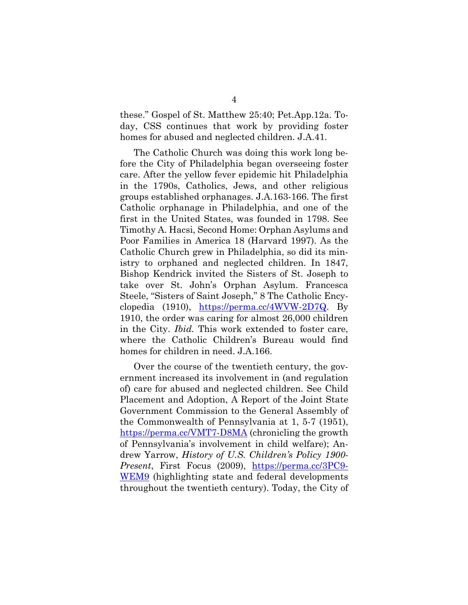these." Gospel of St. Matthew 25:40; Pet.App.12a. Today, CSS continues that work by providing foster homes for abused and neglected children. J.A.41.

The Catholic Church was doing this work long before the City of Philadelphia began overseeing foster care. After the yellow fever epidemic hit Philadelphia in the 1790s, Catholics, Jews, and other religious groups established orphanages. J.A.163-166. The first Catholic orphanage in Philadelphia, and one of the first in the United States, was founded in 1798. See Timothy A. Hacsi, Second Home: Orphan Asylums and Poor Families in America 18 (Harvard 1997). As the Catholic Church grew in Philadelphia, so did its ministry to orphaned and neglected children. In 1847, Bishop Kendrick invited the Sisters of St. Joseph to take over St. John's Orphan Asylum. Francesca Steele, "Sisters of Saint Joseph," 8 The Catholic Encyclopedia (1910), [https://perma.cc/4WVW-2D7Q.](https://perma.cc/4WVW-2D7Q) By 1910, the order was caring for almost 26,000 children in the City. *Ibid.* This work extended to foster care, where the Catholic Children's Bureau would find homes for children in need. J.A.166.

Over the course of the twentieth century, the government increased its involvement in (and regulation of) care for abused and neglected children. See Child Placement and Adoption, A Report of the Joint State Government Commission to the General Assembly of the Commonwealth of Pennsylvania at 1, 5-7 (1951), <https://perma.cc/VMT7-D8MA> (chronicling the growth of Pennsylvania's involvement in child welfare); Andrew Yarrow, *History of U.S. Children's Policy 1900- Present*, First Focus (2009), [https://perma.cc/3PC9-](https://perma.cc/3PC9-WEM9) [WEM9](https://perma.cc/3PC9-WEM9) (highlighting state and federal developments throughout the twentieth century). Today, the City of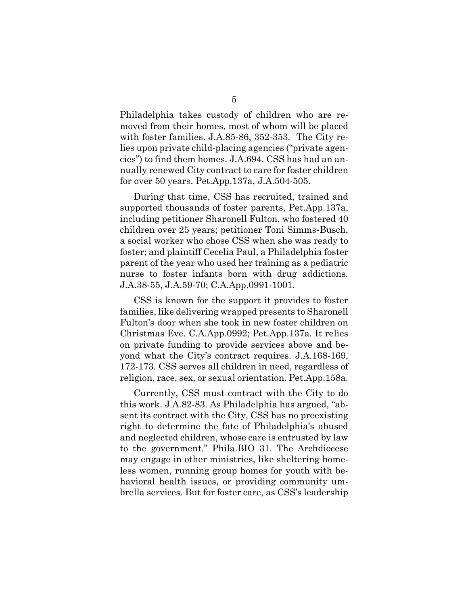Philadelphia takes custody of children who are removed from their homes, most of whom will be placed with foster families. J.A.85-86, 352-353. The City relies upon private child-placing agencies ("private agencies") to find them homes. J.A.694. CSS has had an annually renewed City contract to care for foster children for over 50 years. Pet.App.137a, J.A.504-505.

During that time, CSS has recruited, trained and supported thousands of foster parents, Pet.App.137a, including petitioner Sharonell Fulton, who fostered 40 children over 25 years; petitioner Toni Simms-Busch, a social worker who chose CSS when she was ready to foster; and plaintiff Cecelia Paul, a Philadelphia foster parent of the year who used her training as a pediatric nurse to foster infants born with drug addictions. J.A.38-55, J.A.59-70; C.A.App.0991-1001.

CSS is known for the support it provides to foster families, like delivering wrapped presents to Sharonell Fulton's door when she took in new foster children on Christmas Eve. C.A.App.0992; Pet.App.137a. It relies on private funding to provide services above and beyond what the City's contract requires. J.A.168-169, 172-173. CSS serves all children in need, regardless of religion, race, sex, or sexual orientation. Pet.App.158a.

Currently, CSS must contract with the City to do this work. J.A.82-83. As Philadelphia has argued, "absent its contract with the City, CSS has no preexisting right to determine the fate of Philadelphia's abused and neglected children, whose care is entrusted by law to the government." Phila.BIO 31. The Archdiocese may engage in other ministries, like sheltering homeless women, running group homes for youth with behavioral health issues, or providing community umbrella services. But for foster care, as CSS's leadership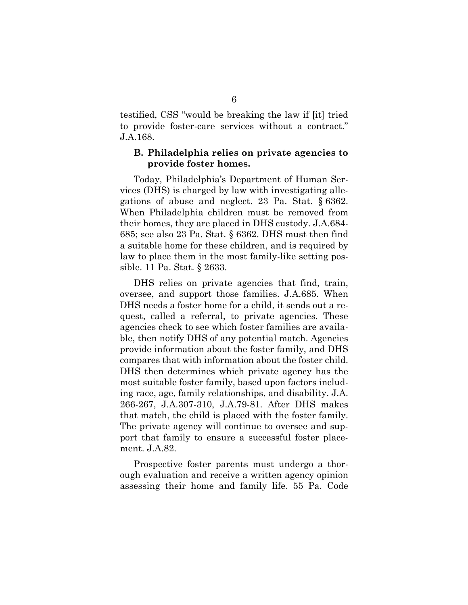testified, CSS "would be breaking the law if [it] tried to provide foster-care services without a contract." J.A.168.

#### **B. Philadelphia relies on private agencies to provide foster homes.**

Today, Philadelphia's Department of Human Services (DHS) is charged by law with investigating allegations of abuse and neglect. 23 Pa. Stat. § 6362. When Philadelphia children must be removed from their homes, they are placed in DHS custody. J.A.684- 685; see also 23 Pa. Stat. § 6362. DHS must then find a suitable home for these children, and is required by law to place them in the most family-like setting possible. 11 Pa. Stat. § 2633.

DHS relies on private agencies that find, train, oversee, and support those families. J.A.685. When DHS needs a foster home for a child, it sends out a request, called a referral, to private agencies. These agencies check to see which foster families are available, then notify DHS of any potential match. Agencies provide information about the foster family, and DHS compares that with information about the foster child. DHS then determines which private agency has the most suitable foster family, based upon factors including race, age, family relationships, and disability. J.A. 266-267, J.A.307-310, J.A.79-81. After DHS makes that match, the child is placed with the foster family. The private agency will continue to oversee and support that family to ensure a successful foster placement. J.A.82.

Prospective foster parents must undergo a thorough evaluation and receive a written agency opinion assessing their home and family life. 55 Pa. Code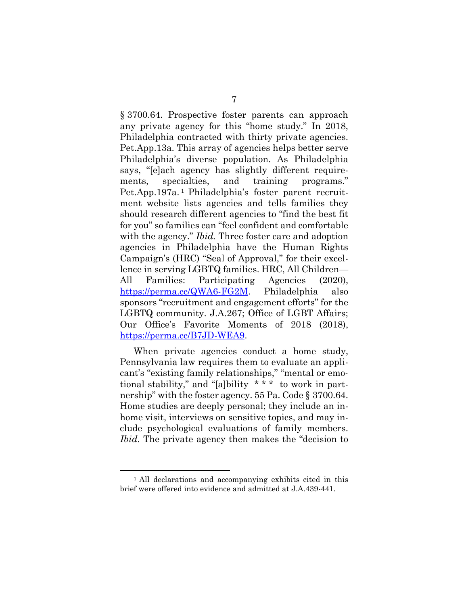§ 3700.64. Prospective foster parents can approach any private agency for this "home study." In 2018, Philadelphia contracted with thirty private agencies. Pet.App.13a. This array of agencies helps better serve Philadelphia's diverse population. As Philadelphia says, "[e]ach agency has slightly different requirements, specialties, and training programs." Pet.App.197a.<sup>1</sup> Philadelphia's foster parent recruitment website lists agencies and tells families they should research different agencies to "find the best fit for you" so families can "feel confident and comfortable with the agency." *Ibid.* Three foster care and adoption agencies in Philadelphia have the Human Rights Campaign's (HRC) "Seal of Approval," for their excellence in serving LGBTQ families. HRC, All Children— All Families: Participating Agencies (2020), [https://perma.cc/QWA6-FG2M.](https://perma.cc/QWA6-FG2M) Philadelphia also sponsors "recruitment and engagement efforts" for the LGBTQ community. J.A.267; Office of LGBT Affairs; Our Office's Favorite Moments of 2018 (2018), [https://perma.cc/B7JD-WEA9.](https://perma.cc/B7JD-WEA9)

When private agencies conduct a home study, Pennsylvania law requires them to evaluate an applicant's "existing family relationships," "mental or emotional stability," and "[a]bility \* \* \* to work in partnership" with the foster agency. 55 Pa. Code § 3700.64. Home studies are deeply personal; they include an inhome visit, interviews on sensitive topics, and may include psychological evaluations of family members. *Ibid*. The private agency then makes the "decision to

<sup>1</sup> All declarations and accompanying exhibits cited in this brief were offered into evidence and admitted at J.A.439-441.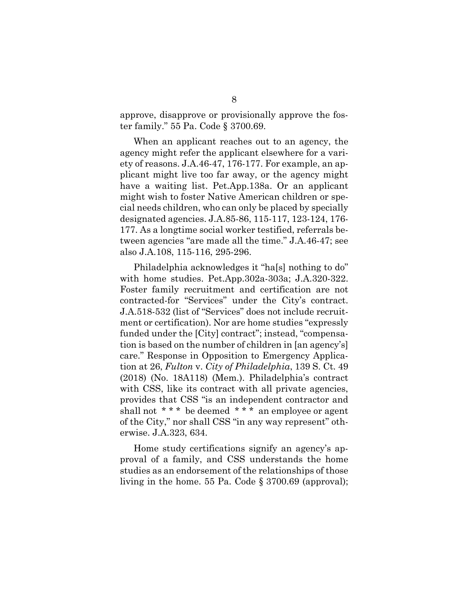approve, disapprove or provisionally approve the foster family." 55 Pa. Code § 3700.69.

When an applicant reaches out to an agency, the agency might refer the applicant elsewhere for a variety of reasons. J.A.46-47, 176-177. For example, an applicant might live too far away, or the agency might have a waiting list. Pet.App.138a. Or an applicant might wish to foster Native American children or special needs children, who can only be placed by specially designated agencies. J.A.85-86, 115-117, 123-124, 176- 177. As a longtime social worker testified, referrals between agencies "are made all the time." J.A.46-47; see also J.A.108, 115-116, 295-296.

Philadelphia acknowledges it "ha[s] nothing to do" with home studies. Pet.App.302a-303a; J.A.320-322. Foster family recruitment and certification are not contracted-for "Services" under the City's contract. J.A.518-532 (list of "Services" does not include recruitment or certification). Nor are home studies "expressly funded under the [City] contract"; instead, "compensation is based on the number of children in [an agency's] care." Response in Opposition to Emergency Application at 26, *Fulton* v. *City of Philadelphia*, 139 S. Ct. 49 (2018) (No. 18A118) (Mem.). Philadelphia's contract with CSS, like its contract with all private agencies, provides that CSS "is an independent contractor and shall not \*\*\* be deemed \*\*\* an employee or agent of the City," nor shall CSS "in any way represent" otherwise. J.A.323, 634.

Home study certifications signify an agency's approval of a family, and CSS understands the home studies as an endorsement of the relationships of those living in the home. 55 Pa. Code § 3700.69 (approval);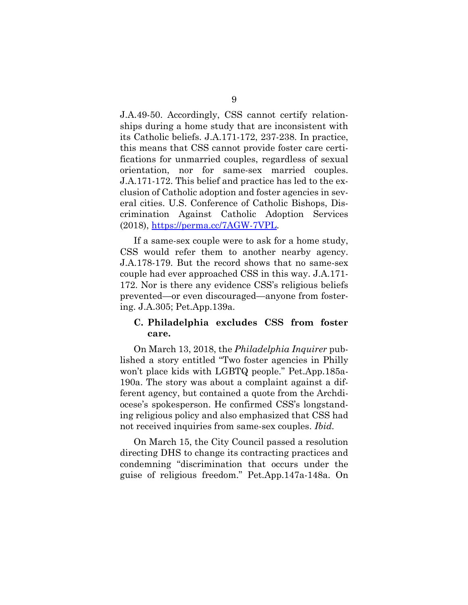J.A.49-50. Accordingly, CSS cannot certify relationships during a home study that are inconsistent with its Catholic beliefs. J.A.171-172, 237-238. In practice, this means that CSS cannot provide foster care certifications for unmarried couples, regardless of sexual orientation, nor for same-sex married couples. J.A.171-172. This belief and practice has led to the exclusion of Catholic adoption and foster agencies in several cities. U.S. Conference of Catholic Bishops, Discrimination Against Catholic Adoption Services (2018), [https://perma.cc/7AGW-7VPL.](https://perma.cc/7AGW-7VPL)

If a same-sex couple were to ask for a home study, CSS would refer them to another nearby agency. J.A.178-179. But the record shows that no same-sex couple had ever approached CSS in this way. J.A.171- 172. Nor is there any evidence CSS's religious beliefs prevented—or even discouraged—anyone from fostering. J.A.305; Pet.App.139a.

## **C. Philadelphia excludes CSS from foster care.**

On March 13, 2018, the *Philadelphia Inquirer* published a story entitled "Two foster agencies in Philly won't place kids with LGBTQ people." Pet.App.185a-190a. The story was about a complaint against a different agency, but contained a quote from the Archdiocese's spokesperson. He confirmed CSS's longstanding religious policy and also emphasized that CSS had not received inquiries from same-sex couples. *Ibid.*

On March 15, the City Council passed a resolution directing DHS to change its contracting practices and condemning "discrimination that occurs under the guise of religious freedom." Pet.App.147a-148a. On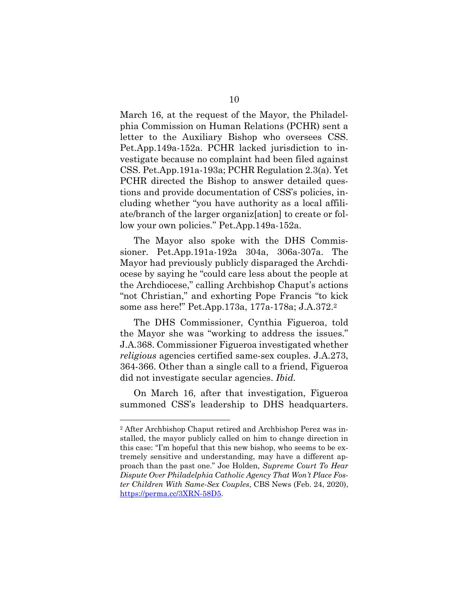March 16, at the request of the Mayor, the Philadelphia Commission on Human Relations (PCHR) sent a letter to the Auxiliary Bishop who oversees CSS. Pet.App.149a-152a. PCHR lacked jurisdiction to investigate because no complaint had been filed against CSS. Pet.App.191a-193a; PCHR Regulation 2.3(a). Yet PCHR directed the Bishop to answer detailed questions and provide documentation of CSS's policies, including whether "you have authority as a local affiliate/branch of the larger organiz[ation] to create or follow your own policies." Pet.App.149a-152a.

The Mayor also spoke with the DHS Commissioner. Pet.App.191a-192a 304a, 306a-307a. The Mayor had previously publicly disparaged the Archdiocese by saying he "could care less about the people at the Archdiocese," calling Archbishop Chaput's actions "not Christian," and exhorting Pope Francis "to kick some ass here!" Pet.App.173a, 177a-178a; J.A.372. 2

The DHS Commissioner, Cynthia Figueroa, told the Mayor she was "working to address the issues." J.A.368. Commissioner Figueroa investigated whether *religious* agencies certified same-sex couples. J.A.273, 364-366. Other than a single call to a friend, Figueroa did not investigate secular agencies. *Ibid.*

On March 16, after that investigation, Figueroa summoned CSS's leadership to DHS headquarters.

<sup>2</sup> After Archbishop Chaput retired and Archbishop Perez was installed, the mayor publicly called on him to change direction in this case: "I'm hopeful that this new bishop, who seems to be extremely sensitive and understanding, may have a different approach than the past one." Joe Holden, *Supreme Court To Hear Dispute Over Philadelphia Catholic Agency That Won't Place Foster Children With Same-Sex Couples*, CBS News (Feb. 24, 2020), [https://perma.cc/3XRN-58D5.](https://perma.cc/3XRN-58D5)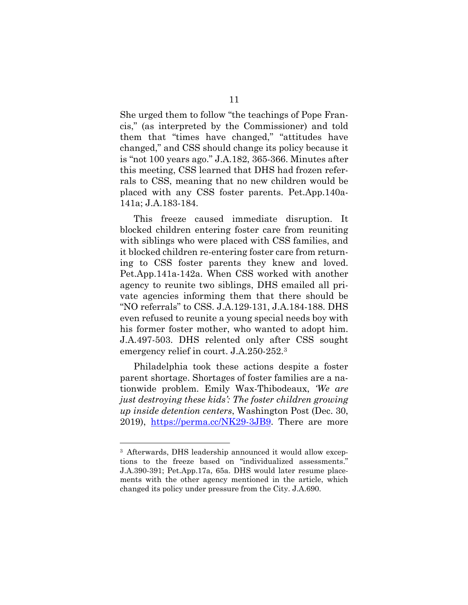She urged them to follow "the teachings of Pope Francis," (as interpreted by the Commissioner) and told them that "times have changed," "attitudes have changed," and CSS should change its policy because it is "not 100 years ago." J.A.182, 365-366. Minutes after this meeting, CSS learned that DHS had frozen referrals to CSS, meaning that no new children would be placed with any CSS foster parents. Pet.App.140a-141a; J.A.183-184.

This freeze caused immediate disruption. It blocked children entering foster care from reuniting with siblings who were placed with CSS families, and it blocked children re-entering foster care from returning to CSS foster parents they knew and loved. Pet.App.141a-142a. When CSS worked with another agency to reunite two siblings, DHS emailed all private agencies informing them that there should be "NO referrals" to CSS. J.A.129-131, J.A.184-188. DHS even refused to reunite a young special needs boy with his former foster mother, who wanted to adopt him. J.A.497-503. DHS relented only after CSS sought emergency relief in court. J.A.250-252. 3

Philadelphia took these actions despite a foster parent shortage. Shortages of foster families are a nationwide problem. Emily Wax-Thibodeaux, *'We are just destroying these kids': The foster children growing up inside detention centers*, Washington Post (Dec. 30, 2019), [https://perma.cc/NK29-3JB9.](https://perma.cc/NK29-3JB9) There are more

<sup>3</sup> Afterwards, DHS leadership announced it would allow exceptions to the freeze based on "individualized assessments." J.A.390-391; Pet.App.17a, 65a. DHS would later resume placements with the other agency mentioned in the article, which changed its policy under pressure from the City. J.A.690.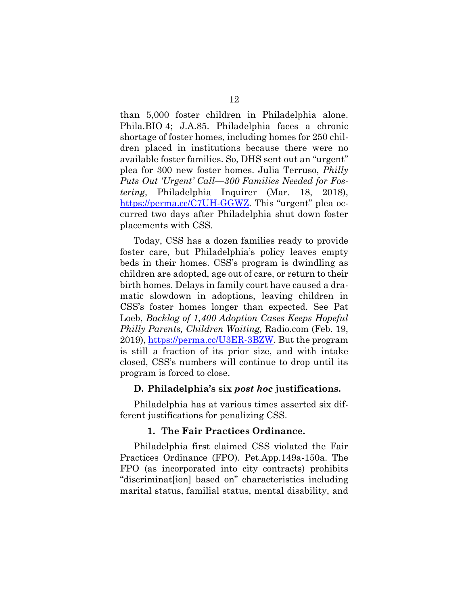than 5,000 foster children in Philadelphia alone. Phila.BIO 4; J.A.85. Philadelphia faces a chronic shortage of foster homes, including homes for 250 children placed in institutions because there were no available foster families. So, DHS sent out an "urgent" plea for 300 new foster homes. Julia Terruso, *Philly Puts Out 'Urgent' Call—300 Families Needed for Fostering*, Philadelphia Inquirer (Mar. 18, 2018), [https://perma.cc/C7UH-GGWZ.](https://perma.cc/C7UH-GGWZ) This "urgent" plea occurred two days after Philadelphia shut down foster placements with CSS.

Today, CSS has a dozen families ready to provide foster care, but Philadelphia's policy leaves empty beds in their homes. CSS's program is dwindling as children are adopted, age out of care, or return to their birth homes. Delays in family court have caused a dramatic slowdown in adoptions, leaving children in CSS's foster homes longer than expected. See Pat Loeb, *Backlog of 1,400 Adoption Cases Keeps Hopeful Philly Parents, Children Waiting,* Radio.com (Feb. 19, 2019), [https://perma.cc/U3ER-3BZW.](https://perma.cc/U3ER-3BZW) But the program is still a fraction of its prior size, and with intake closed, CSS's numbers will continue to drop until its program is forced to close.

#### **D. Philadelphia's six** *post hoc* **justifications.**

Philadelphia has at various times asserted six different justifications for penalizing CSS.

#### **1. The Fair Practices Ordinance.**

Philadelphia first claimed CSS violated the Fair Practices Ordinance (FPO). Pet.App.149a-150a. The FPO (as incorporated into city contracts) prohibits "discriminat[ion] based on" characteristics including marital status, familial status, mental disability, and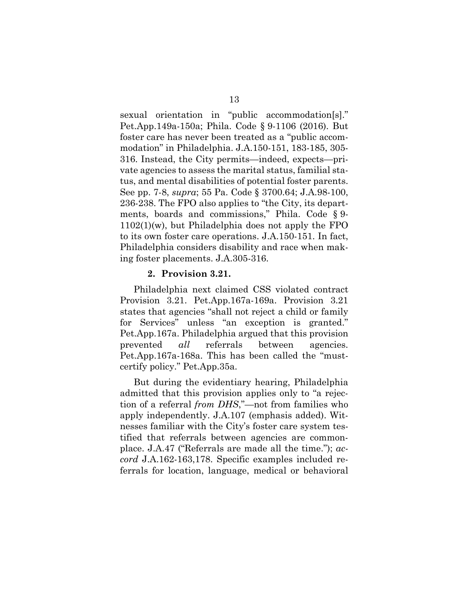sexual orientation in "public accommodation[s]." Pet.App.149a-150a; Phila. Code § 9-1106 (2016). But foster care has never been treated as a "public accommodation" in Philadelphia. J.A.150-151, 183-185, 305- 316. Instead, the City permits—indeed, expects—private agencies to assess the marital status, familial status, and mental disabilities of potential foster parents. See pp. 7-8, *supra*; 55 Pa. Code § 3700.64; J.A.98-100, 236-238. The FPO also applies to "the City, its departments, boards and commissions," Phila. Code § 9- 1102(1)(w), but Philadelphia does not apply the FPO to its own foster care operations. J.A.150-151. In fact, Philadelphia considers disability and race when making foster placements. J.A.305-316.

#### **2. Provision 3.21.**

Philadelphia next claimed CSS violated contract Provision 3.21. Pet.App.167a-169a. Provision 3.21 states that agencies "shall not reject a child or family for Services" unless "an exception is granted." Pet.App.167a. Philadelphia argued that this provision prevented *all* referrals between agencies. Pet.App.167a-168a. This has been called the "mustcertify policy." Pet.App.35a.

But during the evidentiary hearing, Philadelphia admitted that this provision applies only to "a rejection of a referral *from DHS*,"—not from families who apply independently. J.A.107 (emphasis added). Witnesses familiar with the City's foster care system testified that referrals between agencies are commonplace. J.A.47 ("Referrals are made all the time."); *accord* J.A.162-163,178. Specific examples included referrals for location, language, medical or behavioral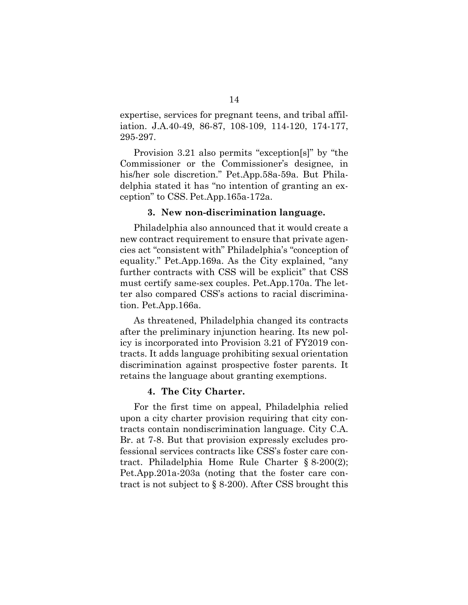expertise, services for pregnant teens, and tribal affiliation. J.A.40-49, 86-87, 108-109, 114-120, 174-177, 295-297.

Provision 3.21 also permits "exception[s]" by "the Commissioner or the Commissioner's designee, in his/her sole discretion." Pet.App.58a-59a. But Philadelphia stated it has "no intention of granting an exception" to CSS. Pet.App.165a-172a.

#### **3. New non-discrimination language.**

Philadelphia also announced that it would create a new contract requirement to ensure that private agencies act "consistent with" Philadelphia's "conception of equality." Pet.App.169a. As the City explained, "any further contracts with CSS will be explicit" that CSS must certify same-sex couples. Pet.App.170a. The letter also compared CSS's actions to racial discrimination. Pet.App.166a.

As threatened, Philadelphia changed its contracts after the preliminary injunction hearing. Its new policy is incorporated into Provision 3.21 of FY2019 contracts. It adds language prohibiting sexual orientation discrimination against prospective foster parents. It retains the language about granting exemptions.

#### **4. The City Charter.**

For the first time on appeal, Philadelphia relied upon a city charter provision requiring that city contracts contain nondiscrimination language. City C.A. Br. at 7-8. But that provision expressly excludes professional services contracts like CSS's foster care contract. Philadelphia Home Rule Charter § 8-200(2); Pet.App.201a-203a (noting that the foster care contract is not subject to § 8-200). After CSS brought this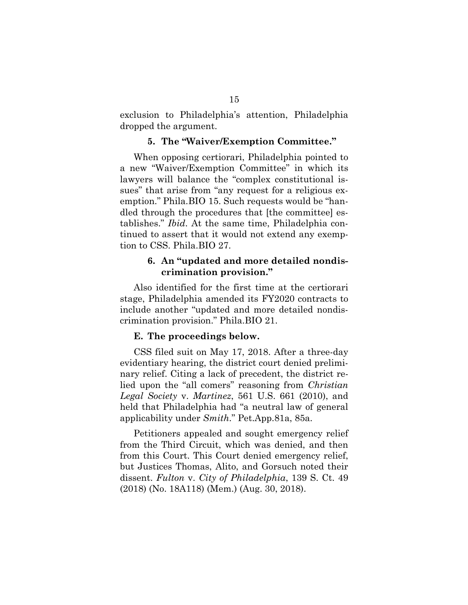exclusion to Philadelphia's attention, Philadelphia dropped the argument.

#### **5. The "Waiver/Exemption Committee."**

When opposing certiorari, Philadelphia pointed to a new "Waiver/Exemption Committee" in which its lawyers will balance the "complex constitutional issues" that arise from "any request for a religious exemption." Phila.BIO 15. Such requests would be "handled through the procedures that [the committee] establishes." *Ibid*. At the same time, Philadelphia continued to assert that it would not extend any exemption to CSS. Phila.BIO 27.

### **6. An "updated and more detailed nondiscrimination provision."**

Also identified for the first time at the certiorari stage, Philadelphia amended its FY2020 contracts to include another "updated and more detailed nondiscrimination provision." Phila.BIO 21.

#### **E. The proceedings below.**

CSS filed suit on May 17, 2018. After a three-day evidentiary hearing, the district court denied preliminary relief. Citing a lack of precedent, the district relied upon the "all comers" reasoning from *Christian Legal Society* v. *Martinez*, 561 U.S. 661 (2010), and held that Philadelphia had "a neutral law of general applicability under *Smith*." Pet.App.81a, 85a.

Petitioners appealed and sought emergency relief from the Third Circuit, which was denied, and then from this Court. This Court denied emergency relief, but Justices Thomas, Alito, and Gorsuch noted their dissent. *Fulton* v. *City of Philadelphia*, 139 S. Ct. 49 (2018) (No. 18A118) (Mem.) (Aug. 30, 2018).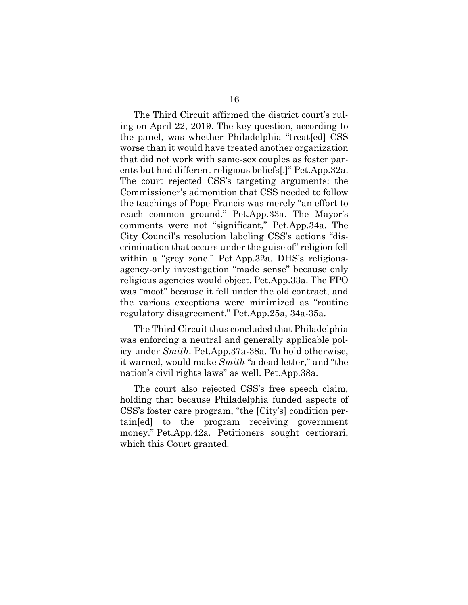The Third Circuit affirmed the district court's ruling on April 22, 2019. The key question, according to the panel, was whether Philadelphia "treat[ed] CSS worse than it would have treated another organization that did not work with same-sex couples as foster parents but had different religious beliefs[.]" Pet.App.32a. The court rejected CSS's targeting arguments: the Commissioner's admonition that CSS needed to follow the teachings of Pope Francis was merely "an effort to reach common ground." Pet.App.33a. The Mayor's comments were not "significant," Pet.App.34a. The City Council's resolution labeling CSS's actions "discrimination that occurs under the guise of" religion fell within a "grey zone." Pet.App.32a. DHS's religiousagency-only investigation "made sense" because only religious agencies would object. Pet.App.33a. The FPO was "moot" because it fell under the old contract, and the various exceptions were minimized as "routine regulatory disagreement." Pet.App.25a, 34a-35a.

The Third Circuit thus concluded that Philadelphia was enforcing a neutral and generally applicable policy under *Smith*. Pet.App.37a-38a. To hold otherwise, it warned, would make *Smith* "a dead letter," and "the nation's civil rights laws" as well. Pet.App.38a.

The court also rejected CSS's free speech claim, holding that because Philadelphia funded aspects of CSS's foster care program, "the [City's] condition pertain[ed] to the program receiving government money." Pet.App.42a. Petitioners sought certiorari, which this Court granted.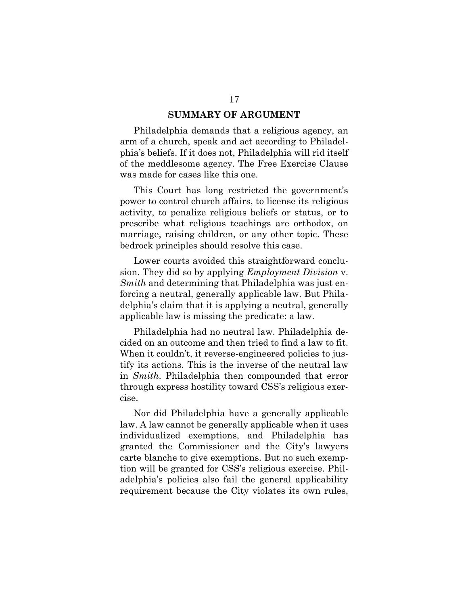#### **SUMMARY OF ARGUMENT**

Philadelphia demands that a religious agency, an arm of a church, speak and act according to Philadelphia's beliefs. If it does not, Philadelphia will rid itself of the meddlesome agency. The Free Exercise Clause was made for cases like this one.

This Court has long restricted the government's power to control church affairs, to license its religious activity, to penalize religious beliefs or status, or to prescribe what religious teachings are orthodox, on marriage, raising children, or any other topic. These bedrock principles should resolve this case.

Lower courts avoided this straightforward conclusion. They did so by applying *Employment Division* v. *Smith* and determining that Philadelphia was just enforcing a neutral, generally applicable law. But Philadelphia's claim that it is applying a neutral, generally applicable law is missing the predicate: a law.

Philadelphia had no neutral law. Philadelphia decided on an outcome and then tried to find a law to fit. When it couldn't, it reverse-engineered policies to justify its actions. This is the inverse of the neutral law in *Smith*. Philadelphia then compounded that error through express hostility toward CSS's religious exercise.

Nor did Philadelphia have a generally applicable law. A law cannot be generally applicable when it uses individualized exemptions, and Philadelphia has granted the Commissioner and the City's lawyers carte blanche to give exemptions. But no such exemption will be granted for CSS's religious exercise. Philadelphia's policies also fail the general applicability requirement because the City violates its own rules,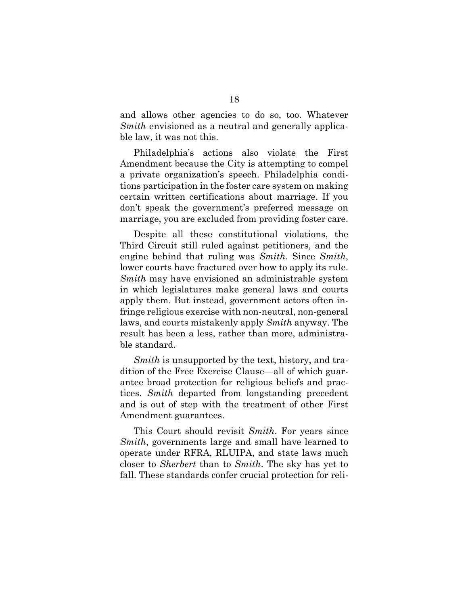and allows other agencies to do so, too. Whatever *Smith* envisioned as a neutral and generally applicable law, it was not this.

Philadelphia's actions also violate the First Amendment because the City is attempting to compel a private organization's speech. Philadelphia conditions participation in the foster care system on making certain written certifications about marriage. If you don't speak the government's preferred message on marriage, you are excluded from providing foster care.

Despite all these constitutional violations, the Third Circuit still ruled against petitioners, and the engine behind that ruling was *Smith*. Since *Smith*, lower courts have fractured over how to apply its rule. *Smith* may have envisioned an administrable system in which legislatures make general laws and courts apply them. But instead, government actors often infringe religious exercise with non-neutral, non-general laws, and courts mistakenly apply *Smith* anyway. The result has been a less, rather than more, administrable standard.

*Smith* is unsupported by the text, history, and tradition of the Free Exercise Clause—all of which guarantee broad protection for religious beliefs and practices. *Smith* departed from longstanding precedent and is out of step with the treatment of other First Amendment guarantees.

This Court should revisit *Smith*. For years since *Smith*, governments large and small have learned to operate under RFRA, RLUIPA, and state laws much closer to *Sherbert* than to *Smith*. The sky has yet to fall. These standards confer crucial protection for reli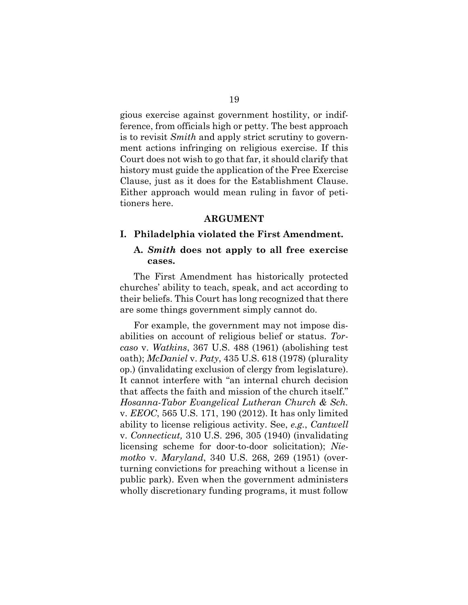gious exercise against government hostility, or indifference, from officials high or petty. The best approach is to revisit *Smith* and apply strict scrutiny to government actions infringing on religious exercise. If this Court does not wish to go that far, it should clarify that history must guide the application of the Free Exercise Clause, just as it does for the Establishment Clause. Either approach would mean ruling in favor of petitioners here.

#### **ARGUMENT**

#### **I. Philadelphia violated the First Amendment.**

#### **A.** *Smith* **does not apply to all free exercise cases.**

The First Amendment has historically protected churches' ability to teach, speak, and act according to their beliefs. This Court has long recognized that there are some things government simply cannot do.

For example, the government may not impose disabilities on account of religious belief or status. *Torcaso* v. *Watkins*, 367 U.S. 488 (1961) (abolishing test oath); *McDaniel* v. *Paty*, 435 U.S. 618 (1978) (plurality op.) (invalidating exclusion of clergy from legislature). It cannot interfere with "an internal church decision that affects the faith and mission of the church itself." *Hosanna-Tabor Evangelical Lutheran Church & Sch.*  v. *EEOC*, 565 U.S. 171, 190 (2012). It has only limited ability to license religious activity. See, *e.g.*, *Cantwell*  v. *Connecticut,* 310 U.S. 296, 305 (1940) (invalidating licensing scheme for door-to-door solicitation); *Niemotko* v. *Maryland*, 340 U.S. 268, 269 (1951) (overturning convictions for preaching without a license in public park). Even when the government administers wholly discretionary funding programs, it must follow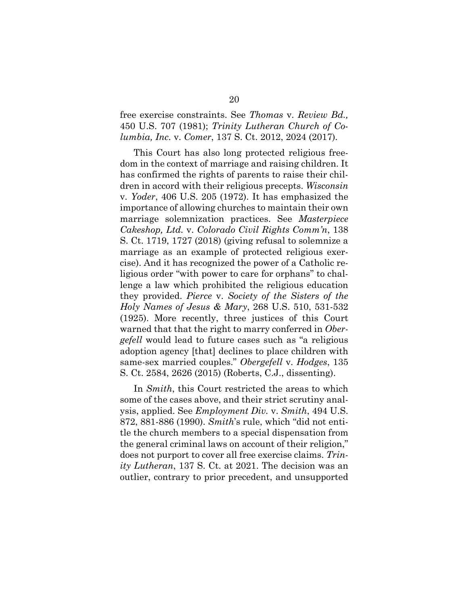## free exercise constraints. See *Thomas* v. *Review Bd.,*  450 U.S. 707 (1981); *Trinity Lutheran Church of Columbia, Inc.* v. *Comer*, 137 S. Ct. 2012, 2024 (2017)*.*

This Court has also long protected religious freedom in the context of marriage and raising children. It has confirmed the rights of parents to raise their children in accord with their religious precepts. *Wisconsin*  v. *Yoder*, 406 U.S. 205 (1972). It has emphasized the importance of allowing churches to maintain their own marriage solemnization practices. See *Masterpiece Cakeshop, Ltd.* v. *Colorado Civil Rights Comm'n*, 138 S. Ct. 1719, 1727 (2018) (giving refusal to solemnize a marriage as an example of protected religious exercise). And it has recognized the power of a Catholic religious order "with power to care for orphans" to challenge a law which prohibited the religious education they provided. *Pierce* v. *Society of the Sisters of the Holy Names of Jesus & Mary*, 268 U.S. 510, 531-532 (1925). More recently, three justices of this Court warned that that the right to marry conferred in *Obergefell* would lead to future cases such as "a religious adoption agency [that] declines to place children with same-sex married couples." *Obergefell* v. *Hodges*, 135 S. Ct. 2584, 2626 (2015) (Roberts, C.J., dissenting).

In *Smith*, this Court restricted the areas to which some of the cases above, and their strict scrutiny analysis, applied. See *Employment Div.* v. *Smith*, 494 U.S. 872, 881-886 (1990). *Smith*'s rule, which "did not entitle the church members to a special dispensation from the general criminal laws on account of their religion," does not purport to cover all free exercise claims. *Trinity Lutheran*, 137 S. Ct. at 2021. The decision was an outlier, contrary to prior precedent, and unsupported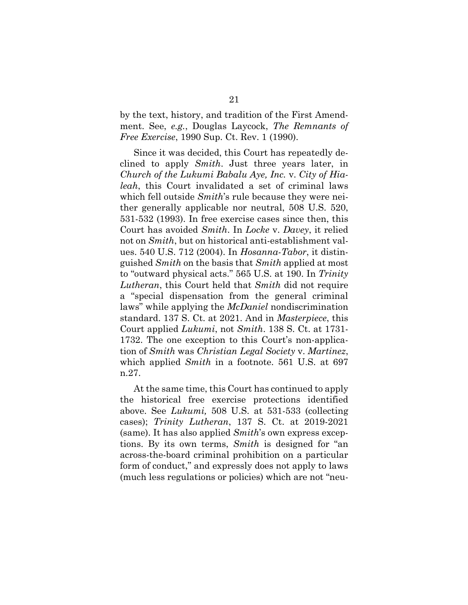by the text, history, and tradition of the First Amendment. See, *e.g.*, Douglas Laycock, *The Remnants of Free Exercise*, 1990 Sup. Ct. Rev. 1 (1990).

Since it was decided, this Court has repeatedly declined to apply *Smith*. Just three years later, in *Church of the Lukumi Babalu Aye, Inc.* v. *City of Hialeah*, this Court invalidated a set of criminal laws which fell outside *Smith*'s rule because they were neither generally applicable nor neutral, 508 U.S. 520, 531-532 (1993). In free exercise cases since then, this Court has avoided *Smith*. In *Locke* v. *Davey*, it relied not on *Smith*, but on historical anti-establishment values. 540 U.S. 712 (2004). In *Hosanna-Tabor*, it distinguished *Smith* on the basis that *Smith* applied at most to "outward physical acts." 565 U.S. at 190. In *Trinity Lutheran*, this Court held that *Smith* did not require a "special dispensation from the general criminal laws" while applying the *McDaniel* nondiscrimination standard. 137 S. Ct. at 2021. And in *Masterpiece*, this Court applied *Lukumi*, not *Smith*. 138 S. Ct. at 1731- 1732. The one exception to this Court's non-application of *Smith* was *Christian Legal Society* v. *Martinez*, which applied *Smith* in a footnote. 561 U.S. at 697 n.27.

At the same time, this Court has continued to apply the historical free exercise protections identified above. See *Lukumi,* 508 U.S. at 531-533 (collecting cases); *Trinity Lutheran*, 137 S. Ct. at 2019-2021 (same). It has also applied *Smith*'s own express exceptions. By its own terms, *Smith* is designed for "an across-the-board criminal prohibition on a particular form of conduct," and expressly does not apply to laws (much less regulations or policies) which are not "neu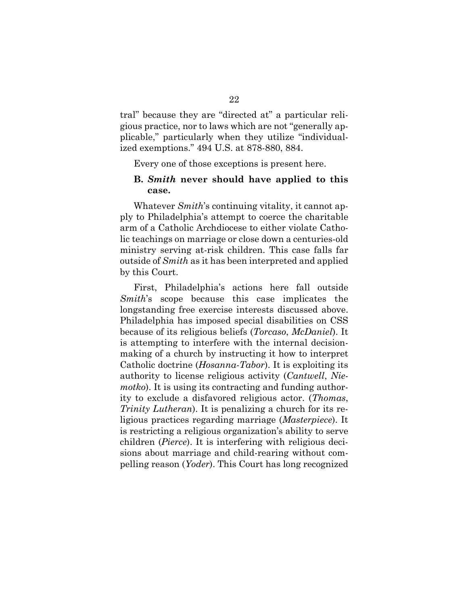tral" because they are "directed at" a particular religious practice, nor to laws which are not "generally applicable," particularly when they utilize "individualized exemptions." 494 U.S. at 878-880, 884.

Every one of those exceptions is present here.

### **B.** *Smith* **never should have applied to this case.**

Whatever *Smith*'s continuing vitality, it cannot apply to Philadelphia's attempt to coerce the charitable arm of a Catholic Archdiocese to either violate Catholic teachings on marriage or close down a centuries-old ministry serving at-risk children. This case falls far outside of *Smith* as it has been interpreted and applied by this Court.

First, Philadelphia's actions here fall outside *Smith*'s scope because this case implicates the longstanding free exercise interests discussed above. Philadelphia has imposed special disabilities on CSS because of its religious beliefs (*Torcaso*, *McDaniel*). It is attempting to interfere with the internal decisionmaking of a church by instructing it how to interpret Catholic doctrine (*Hosanna-Tabor*). It is exploiting its authority to license religious activity (*Cantwell*, *Niemotko*). It is using its contracting and funding authority to exclude a disfavored religious actor. (*Thomas*, *Trinity Lutheran*). It is penalizing a church for its religious practices regarding marriage (*Masterpiece*). It is restricting a religious organization's ability to serve children (*Pierce*). It is interfering with religious decisions about marriage and child-rearing without compelling reason (*Yoder*). This Court has long recognized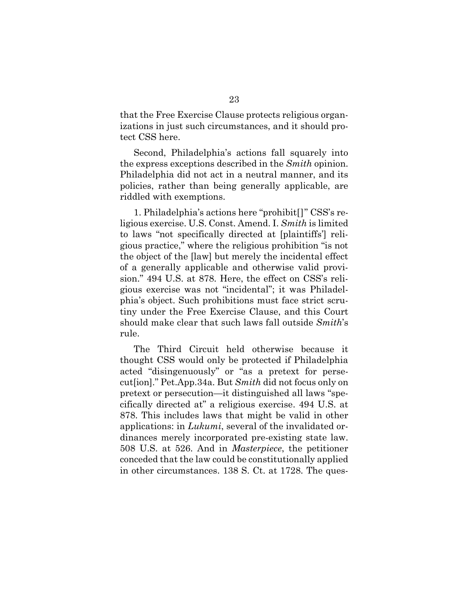that the Free Exercise Clause protects religious organizations in just such circumstances, and it should protect CSS here.

Second, Philadelphia's actions fall squarely into the express exceptions described in the *Smith* opinion. Philadelphia did not act in a neutral manner, and its policies, rather than being generally applicable, are riddled with exemptions.

1. Philadelphia's actions here "prohibit[]" CSS's religious exercise. U.S. Const. Amend. I. *Smith* is limited to laws "not specifically directed at [plaintiffs'] religious practice," where the religious prohibition "is not the object of the [law] but merely the incidental effect of a generally applicable and otherwise valid provision." 494 U.S. at 878. Here, the effect on CSS's religious exercise was not "incidental"; it was Philadelphia's object. Such prohibitions must face strict scrutiny under the Free Exercise Clause, and this Court should make clear that such laws fall outside *Smith*'s rule.

The Third Circuit held otherwise because it thought CSS would only be protected if Philadelphia acted "disingenuously" or "as a pretext for persecut[ion]." Pet.App.34a. But *Smith* did not focus only on pretext or persecution—it distinguished all laws "specifically directed at" a religious exercise. 494 U.S. at 878. This includes laws that might be valid in other applications: in *Lukumi*, several of the invalidated ordinances merely incorporated pre-existing state law. 508 U.S. at 526. And in *Masterpiece*, the petitioner conceded that the law could be constitutionally applied in other circumstances. 138 S. Ct. at 1728. The ques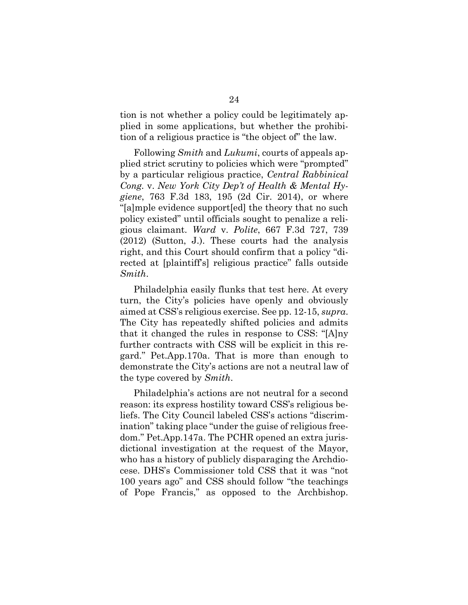tion is not whether a policy could be legitimately applied in some applications, but whether the prohibition of a religious practice is "the object of" the law.

Following *Smith* and *Lukumi*, courts of appeals applied strict scrutiny to policies which were "prompted" by a particular religious practice, *Central Rabbinical Cong.* v. *New York City Dep't of Health & Mental Hygiene*, 763 F.3d 183, 195 (2d Cir. 2014), or where "[a]mple evidence support[ed] the theory that no such policy existed" until officials sought to penalize a religious claimant. *Ward* v. *Polite*, 667 F.3d 727, 739 (2012) (Sutton, J.). These courts had the analysis right, and this Court should confirm that a policy "directed at [plaintiff's] religious practice" falls outside *Smith*.

Philadelphia easily flunks that test here. At every turn, the City's policies have openly and obviously aimed at CSS's religious exercise. See pp. 12-15, *supra*. The City has repeatedly shifted policies and admits that it changed the rules in response to CSS: "[A]ny further contracts with CSS will be explicit in this regard." Pet.App.170a. That is more than enough to demonstrate the City's actions are not a neutral law of the type covered by *Smith*.

Philadelphia's actions are not neutral for a second reason: its express hostility toward CSS's religious beliefs. The City Council labeled CSS's actions "discrimination" taking place "under the guise of religious freedom." Pet.App.147a. The PCHR opened an extra jurisdictional investigation at the request of the Mayor, who has a history of publicly disparaging the Archdiocese. DHS's Commissioner told CSS that it was "not 100 years ago" and CSS should follow "the teachings of Pope Francis," as opposed to the Archbishop.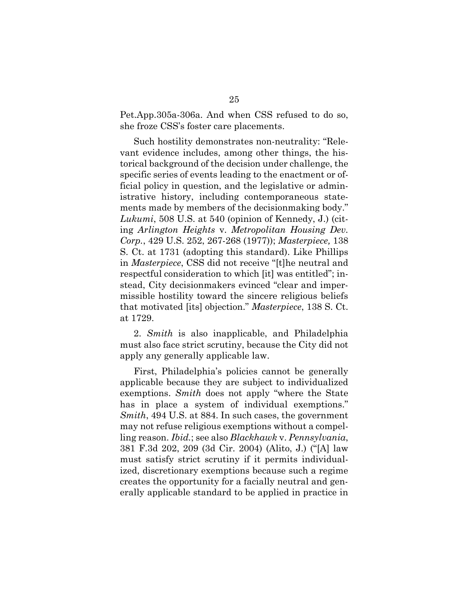Pet.App.305a-306a. And when CSS refused to do so, she froze CSS's foster care placements.

Such hostility demonstrates non-neutrality: "Relevant evidence includes, among other things, the historical background of the decision under challenge, the specific series of events leading to the enactment or official policy in question, and the legislative or administrative history, including contemporaneous statements made by members of the decisionmaking body." *Lukumi*, 508 U.S. at 540 (opinion of Kennedy, J.) (citing *Arlington Heights* v. *Metropolitan Housing Dev. Corp.*, 429 U.S. 252, 267-268 (1977)); *Masterpiece,* 138 S. Ct. at 1731 (adopting this standard). Like Phillips in *Masterpiece*, CSS did not receive "[t]he neutral and respectful consideration to which [it] was entitled"; instead, City decisionmakers evinced "clear and impermissible hostility toward the sincere religious beliefs that motivated [its] objection." *Masterpiece*, 138 S. Ct. at 1729.

2. *Smith* is also inapplicable, and Philadelphia must also face strict scrutiny, because the City did not apply any generally applicable law.

First, Philadelphia's policies cannot be generally applicable because they are subject to individualized exemptions. *Smith* does not apply "where the State has in place a system of individual exemptions." *Smith*, 494 U.S. at 884. In such cases, the government may not refuse religious exemptions without a compelling reason. *Ibid.*; see also *Blackhawk* v. *Pennsylvania*, 381 F.3d 202, 209 (3d Cir. 2004) (Alito, J.) ("[A] law must satisfy strict scrutiny if it permits individualized, discretionary exemptions because such a regime creates the opportunity for a facially neutral and generally applicable standard to be applied in practice in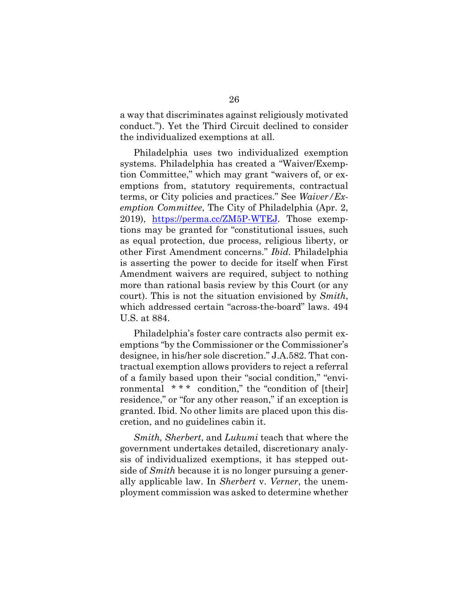a way that discriminates against religiously motivated conduct."). Yet the Third Circuit declined to consider the individualized exemptions at all.

Philadelphia uses two individualized exemption systems. Philadelphia has created a "Waiver/Exemption Committee," which may grant "waivers of, or exemptions from, statutory requirements, contractual terms, or City policies and practices." See *Waiver/Exemption Committee*, The City of Philadelphia (Apr. 2, 2019), <https://perma.cc/ZM5P-WTEJ>*.* Those exemptions may be granted for "constitutional issues, such as equal protection, due process, religious liberty, or other First Amendment concerns." *Ibid.* Philadelphia is asserting the power to decide for itself when First Amendment waivers are required, subject to nothing more than rational basis review by this Court (or any court). This is not the situation envisioned by *Smith*, which addressed certain "across-the-board" laws. 494 U.S. at 884.

Philadelphia's foster care contracts also permit exemptions "by the Commissioner or the Commissioner's designee, in his/her sole discretion." J.A.582. That contractual exemption allows providers to reject a referral of a family based upon their "social condition," "environmental \*\*\* condition," the "condition of [their] residence," or "for any other reason," if an exception is granted. Ibid. No other limits are placed upon this discretion, and no guidelines cabin it.

*Smith, Sherbert*, and *Lukumi* teach that where the government undertakes detailed, discretionary analysis of individualized exemptions, it has stepped outside of *Smith* because it is no longer pursuing a generally applicable law. In *Sherbert* v. *Verner*, the unemployment commission was asked to determine whether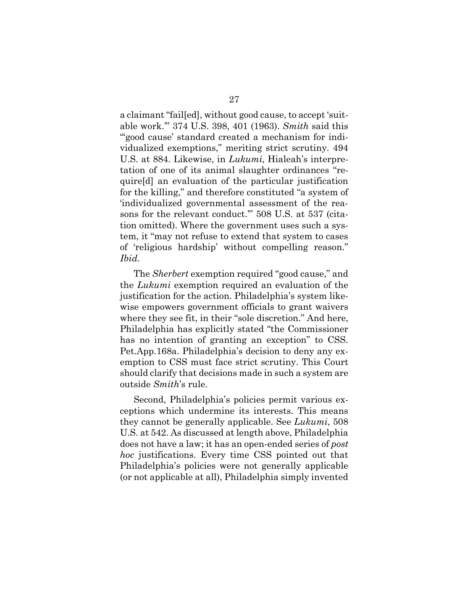a claimant "fail[ed], without good cause, to accept 'suitable work.'" 374 U.S. 398, 401 (1963). *Smith* said this "'good cause' standard created a mechanism for individualized exemptions," meriting strict scrutiny. 494 U.S. at 884. Likewise, in *Lukumi*, Hialeah's interpretation of one of its animal slaughter ordinances "require[d] an evaluation of the particular justification for the killing," and therefore constituted "a system of 'individualized governmental assessment of the reasons for the relevant conduct.'" 508 U.S. at 537 (citation omitted). Where the government uses such a system, it "may not refuse to extend that system to cases of 'religious hardship' without compelling reason." *Ibid.*

The *Sherbert* exemption required "good cause," and the *Lukumi* exemption required an evaluation of the justification for the action. Philadelphia's system likewise empowers government officials to grant waivers where they see fit, in their "sole discretion." And here, Philadelphia has explicitly stated "the Commissioner has no intention of granting an exception" to CSS. Pet.App.168a. Philadelphia's decision to deny any exemption to CSS must face strict scrutiny. This Court should clarify that decisions made in such a system are outside *Smith*'s rule.

Second, Philadelphia's policies permit various exceptions which undermine its interests. This means they cannot be generally applicable. See *Lukumi*, 508 U.S. at 542. As discussed at length above, Philadelphia does not have a law; it has an open-ended series of *post hoc* justifications. Every time CSS pointed out that Philadelphia's policies were not generally applicable (or not applicable at all), Philadelphia simply invented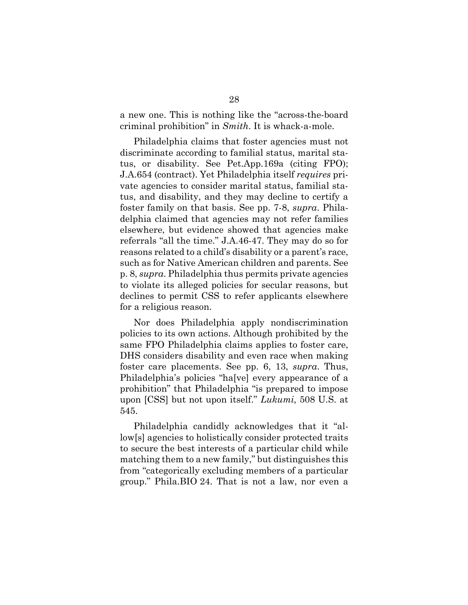a new one. This is nothing like the "across-the-board criminal prohibition" in *Smith*. It is whack-a-mole.

Philadelphia claims that foster agencies must not discriminate according to familial status, marital status, or disability. See Pet.App.169a (citing FPO); J.A.654 (contract). Yet Philadelphia itself *requires* private agencies to consider marital status, familial status, and disability, and they may decline to certify a foster family on that basis. See pp. 7-8, *supra*. Philadelphia claimed that agencies may not refer families elsewhere, but evidence showed that agencies make referrals "all the time." J.A.46-47. They may do so for reasons related to a child's disability or a parent's race, such as for Native American children and parents. See p. 8, *supra*. Philadelphia thus permits private agencies to violate its alleged policies for secular reasons, but declines to permit CSS to refer applicants elsewhere for a religious reason.

Nor does Philadelphia apply nondiscrimination policies to its own actions. Although prohibited by the same FPO Philadelphia claims applies to foster care, DHS considers disability and even race when making foster care placements. See pp. 6, 13, *supra*. Thus, Philadelphia's policies "ha[ve] every appearance of a prohibition" that Philadelphia "is prepared to impose upon [CSS] but not upon itself." *Lukumi,* 508 U.S. at 545.

Philadelphia candidly acknowledges that it "allow[s] agencies to holistically consider protected traits to secure the best interests of a particular child while matching them to a new family," but distinguishes this from "categorically excluding members of a particular group." Phila.BIO 24. That is not a law, nor even a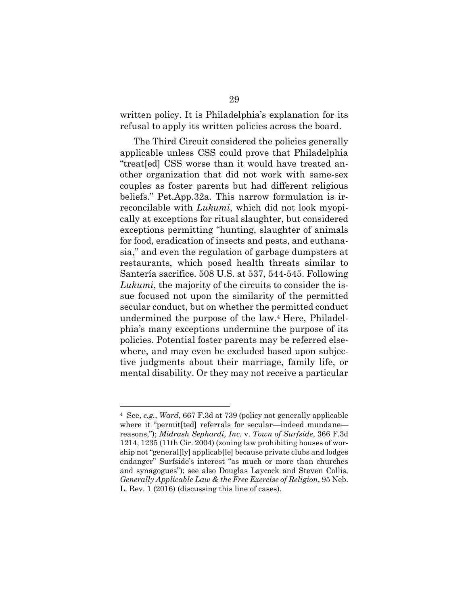written policy. It is Philadelphia's explanation for its refusal to apply its written policies across the board.

The Third Circuit considered the policies generally applicable unless CSS could prove that Philadelphia "treat[ed] CSS worse than it would have treated another organization that did not work with same-sex couples as foster parents but had different religious beliefs." Pet.App.32a. This narrow formulation is irreconcilable with *Lukumi*, which did not look myopically at exceptions for ritual slaughter, but considered exceptions permitting "hunting, slaughter of animals for food, eradication of insects and pests, and euthanasia," and even the regulation of garbage dumpsters at restaurants, which posed health threats similar to Santería sacrifice. 508 U.S. at 537, 544-545. Following *Lukumi*, the majority of the circuits to consider the issue focused not upon the similarity of the permitted secular conduct, but on whether the permitted conduct undermined the purpose of the law. <sup>4</sup> Here, Philadelphia's many exceptions undermine the purpose of its policies. Potential foster parents may be referred elsewhere, and may even be excluded based upon subjective judgments about their marriage, family life, or mental disability. Or they may not receive a particular

<sup>4</sup> See, *e.g.*, *Ward*, 667 F.3d at 739 (policy not generally applicable where it "permit[ted] referrals for secular—indeed mundane reasons,"); *Midrash Sephardi, Inc.* v. *Town of Surfside*, 366 F.3d 1214, 1235 (11th Cir. 2004) (zoning law prohibiting houses of worship not "general[ly] applicab[le] because private clubs and lodges endanger" Surfside's interest "as much or more than churches and synagogues"); see also Douglas Laycock and Steven Collis, *Generally Applicable Law & the Free Exercise of Religion*, 95 Neb. L. Rev. 1 (2016) (discussing this line of cases).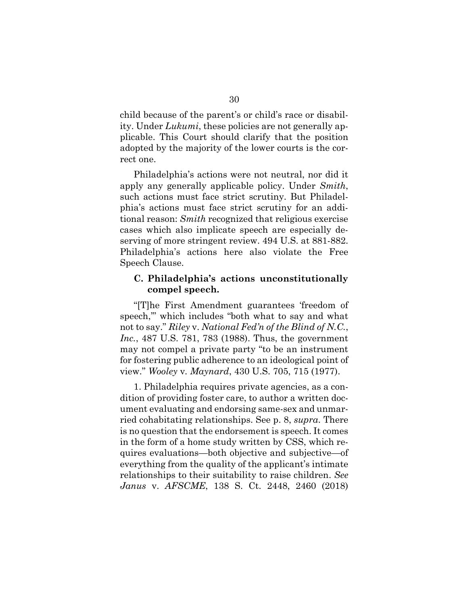child because of the parent's or child's race or disability. Under *Lukumi*, these policies are not generally applicable. This Court should clarify that the position adopted by the majority of the lower courts is the correct one.

Philadelphia's actions were not neutral, nor did it apply any generally applicable policy. Under *Smith*, such actions must face strict scrutiny. But Philadelphia's actions must face strict scrutiny for an additional reason: *Smith* recognized that religious exercise cases which also implicate speech are especially deserving of more stringent review. 494 U.S. at 881-882. Philadelphia's actions here also violate the Free Speech Clause.

### **C. Philadelphia's actions unconstitutionally compel speech.**

"[T]he First Amendment guarantees 'freedom of speech,'" which includes "both what to say and what not to say." *Riley* v. *National Fed'n of the Blind of N.C.*, *Inc.*, 487 U.S. 781, 783 (1988). Thus, the government may not compel a private party "to be an instrument for fostering public adherence to an ideological point of view." *Wooley* v*. Maynard*, 430 U.S. 705, 715 (1977).

1. Philadelphia requires private agencies, as a condition of providing foster care, to author a written document evaluating and endorsing same-sex and unmarried cohabitating relationships. See p. 8, *supra*. There is no question that the endorsement is speech. It comes in the form of a home study written by CSS, which requires evaluations—both objective and subjective—of everything from the quality of the applicant's intimate relationships to their suitability to raise children. *See Janus* v. *AFSCME*, 138 S. Ct. 2448, 2460 (2018)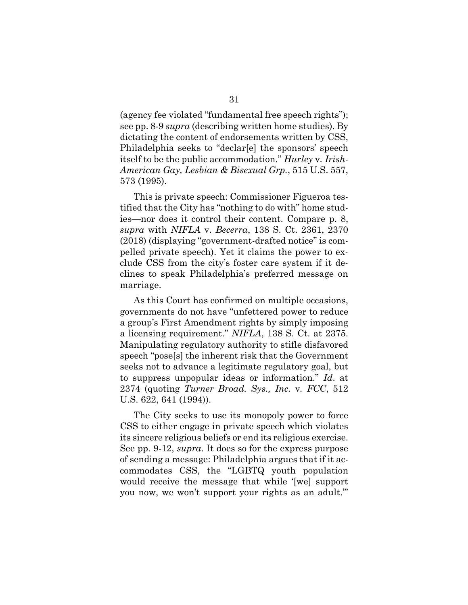(agency fee violated "fundamental free speech rights"); see pp. 8-9 *supra* (describing written home studies). By dictating the content of endorsements written by CSS, Philadelphia seeks to "declar[e] the sponsors' speech itself to be the public accommodation." *Hurley* v*. Irish-American Gay, Lesbian & Bisexual Grp.*, 515 U.S. 557, 573 (1995).

This is private speech: Commissioner Figueroa testified that the City has "nothing to do with" home studies—nor does it control their content. Compare p. 8, *supra* with *NIFLA* v. *Becerra*, 138 S. Ct. 2361, 2370 (2018) (displaying "government-drafted notice" is compelled private speech). Yet it claims the power to exclude CSS from the city's foster care system if it declines to speak Philadelphia's preferred message on marriage.

As this Court has confirmed on multiple occasions, governments do not have "unfettered power to reduce a group's First Amendment rights by simply imposing a licensing requirement." *NIFLA*, 138 S. Ct. at 2375. Manipulating regulatory authority to stifle disfavored speech "pose[s] the inherent risk that the Government seeks not to advance a legitimate regulatory goal, but to suppress unpopular ideas or information." *Id*. at 2374 (quoting *Turner Broad. Sys., Inc.* v*. FCC*, 512 U.S. 622, 641 (1994)).

The City seeks to use its monopoly power to force CSS to either engage in private speech which violates its sincere religious beliefs or end its religious exercise. See pp. 9-12, *supra*. It does so for the express purpose of sending a message: Philadelphia argues that if it accommodates CSS, the "LGBTQ youth population would receive the message that while '[we] support you now, we won't support your rights as an adult.'"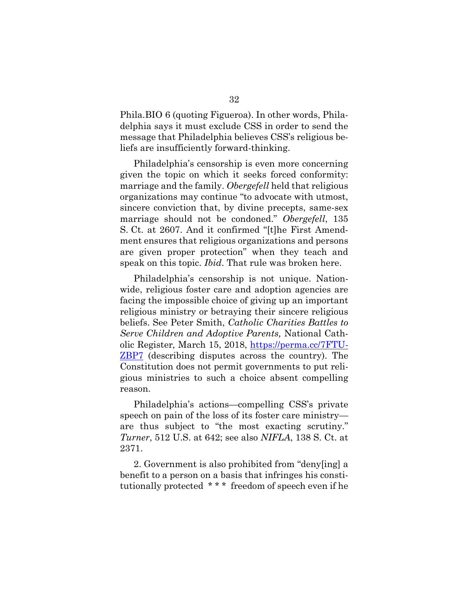Phila.BIO 6 (quoting Figueroa). In other words, Philadelphia says it must exclude CSS in order to send the message that Philadelphia believes CSS's religious beliefs are insufficiently forward-thinking.

Philadelphia's censorship is even more concerning given the topic on which it seeks forced conformity: marriage and the family. *Obergefell* held that religious organizations may continue "to advocate with utmost, sincere conviction that, by divine precepts, same-sex marriage should not be condoned." *Obergefell*, 135 S. Ct. at 2607. And it confirmed "[t]he First Amendment ensures that religious organizations and persons are given proper protection" when they teach and speak on this topic. *Ibid*. That rule was broken here.

Philadelphia's censorship is not unique. Nationwide, religious foster care and adoption agencies are facing the impossible choice of giving up an important religious ministry or betraying their sincere religious beliefs. See Peter Smith, *Catholic Charities Battles to Serve Children and Adoptive Parents,* National Catholic Register*,* March 15, 2018, [https://perma.cc/7FTU-](https://perma.cc/7FTU-ZBP7)[ZBP7](https://perma.cc/7FTU-ZBP7) (describing disputes across the country). The Constitution does not permit governments to put religious ministries to such a choice absent compelling reason.

Philadelphia's actions—compelling CSS's private speech on pain of the loss of its foster care ministry are thus subject to "the most exacting scrutiny." *Turner*, 512 U.S. at 642; see also *NIFLA*, 138 S. Ct. at 2371.

2. Government is also prohibited from "deny[ing] a benefit to a person on a basis that infringes his constitutionally protected \* \* \* freedom of speech even if he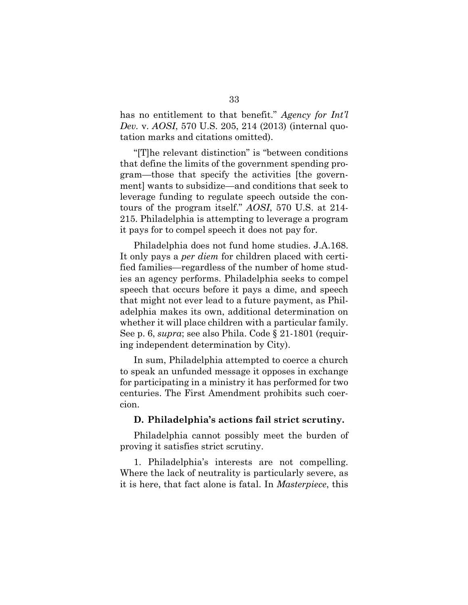has no entitlement to that benefit." *Agency for Int'l Dev.* v. *AOSI*, 570 U.S. 205, 214 (2013) (internal quotation marks and citations omitted).

"[T]he relevant distinction" is "between conditions that define the limits of the government spending program—those that specify the activities [the government] wants to subsidize—and conditions that seek to leverage funding to regulate speech outside the contours of the program itself." *AOSI*, 570 U.S. at 214- 215. Philadelphia is attempting to leverage a program it pays for to compel speech it does not pay for.

Philadelphia does not fund home studies. J.A.168. It only pays a *per diem* for children placed with certified families—regardless of the number of home studies an agency performs. Philadelphia seeks to compel speech that occurs before it pays a dime, and speech that might not ever lead to a future payment, as Philadelphia makes its own, additional determination on whether it will place children with a particular family. See p. 6, *supra*; see also Phila. Code § 21-1801 (requiring independent determination by City).

In sum, Philadelphia attempted to coerce a church to speak an unfunded message it opposes in exchange for participating in a ministry it has performed for two centuries. The First Amendment prohibits such coercion.

#### **D. Philadelphia's actions fail strict scrutiny.**

Philadelphia cannot possibly meet the burden of proving it satisfies strict scrutiny.

1. Philadelphia's interests are not compelling. Where the lack of neutrality is particularly severe, as it is here, that fact alone is fatal. In *Masterpiece*, this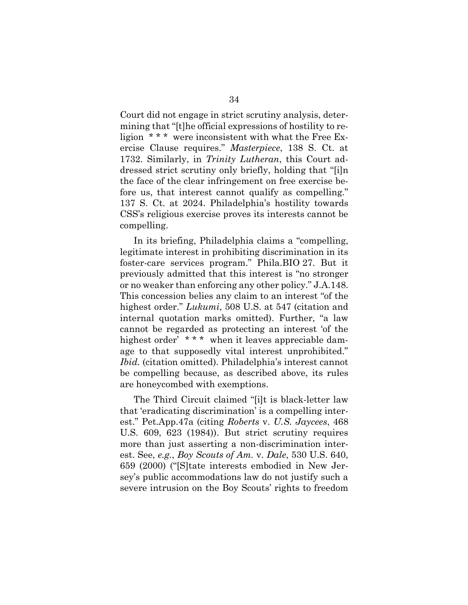Court did not engage in strict scrutiny analysis, determining that "[t]he official expressions of hostility to religion \* \* \* were inconsistent with what the Free Exercise Clause requires." *Masterpiece*, 138 S. Ct. at 1732. Similarly, in *Trinity Lutheran*, this Court addressed strict scrutiny only briefly, holding that "[i]n the face of the clear infringement on free exercise before us, that interest cannot qualify as compelling." 137 S. Ct. at 2024. Philadelphia's hostility towards CSS's religious exercise proves its interests cannot be compelling.

In its briefing, Philadelphia claims a "compelling, legitimate interest in prohibiting discrimination in its foster-care services program." Phila.BIO 27. But it previously admitted that this interest is "no stronger or no weaker than enforcing any other policy." J.A.148. This concession belies any claim to an interest "of the highest order." *Lukumi*, 508 U.S. at 547 (citation and internal quotation marks omitted). Further, "a law cannot be regarded as protecting an interest 'of the highest order' \*\*\* when it leaves appreciable damage to that supposedly vital interest unprohibited." *Ibid.* (citation omitted). Philadelphia's interest cannot be compelling because, as described above, its rules are honeycombed with exemptions.

The Third Circuit claimed "[i]t is black-letter law that 'eradicating discrimination' is a compelling interest." Pet.App.47a (citing *Roberts* v. *U.S. Jaycees*, 468 U.S. 609, 623 (1984)). But strict scrutiny requires more than just asserting a non-discrimination interest. See, *e.g.*, *Boy Scouts of Am.* v. *Dale*, 530 U.S. 640, 659 (2000) ("[S]tate interests embodied in New Jersey's public accommodations law do not justify such a severe intrusion on the Boy Scouts' rights to freedom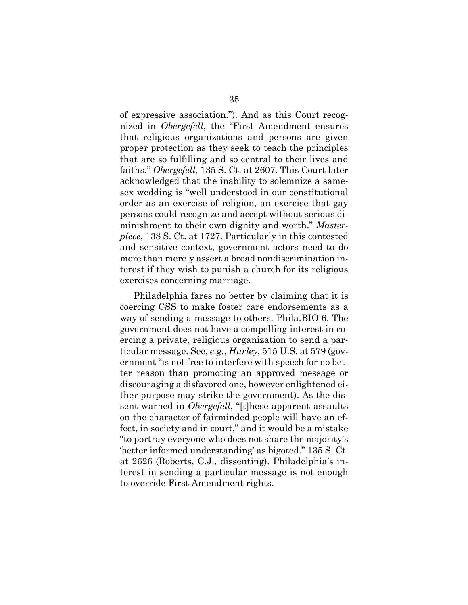of expressive association."). And as this Court recognized in *Obergefell*, the "First Amendment ensures that religious organizations and persons are given proper protection as they seek to teach the principles that are so fulfilling and so central to their lives and faiths." *Obergefell*, 135 S. Ct. at 2607. This Court later acknowledged that the inability to solemnize a samesex wedding is "well understood in our constitutional order as an exercise of religion, an exercise that gay persons could recognize and accept without serious diminishment to their own dignity and worth." *Masterpiece*, 138 S. Ct. at 1727. Particularly in this contested and sensitive context, government actors need to do more than merely assert a broad nondiscrimination interest if they wish to punish a church for its religious exercises concerning marriage.

Philadelphia fares no better by claiming that it is coercing CSS to make foster care endorsements as a way of sending a message to others. Phila.BIO 6. The government does not have a compelling interest in coercing a private, religious organization to send a particular message. See, *e.g.*, *Hurley*, 515 U.S. at 579 (government "is not free to interfere with speech for no better reason than promoting an approved message or discouraging a disfavored one, however enlightened either purpose may strike the government). As the dissent warned in *Obergefell*, "[t]hese apparent assaults on the character of fairminded people will have an effect, in society and in court," and it would be a mistake "to portray everyone who does not share the majority's 'better informed understanding' as bigoted." 135 S. Ct. at 2626 (Roberts, C.J., dissenting). Philadelphia's interest in sending a particular message is not enough to override First Amendment rights.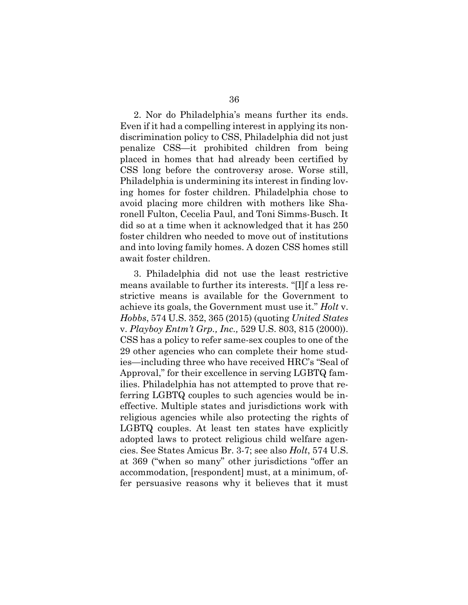2. Nor do Philadelphia's means further its ends. Even if it had a compelling interest in applying its nondiscrimination policy to CSS, Philadelphia did not just penalize CSS—it prohibited children from being placed in homes that had already been certified by CSS long before the controversy arose. Worse still, Philadelphia is undermining its interest in finding loving homes for foster children. Philadelphia chose to avoid placing more children with mothers like Sharonell Fulton, Cecelia Paul, and Toni Simms-Busch. It did so at a time when it acknowledged that it has 250 foster children who needed to move out of institutions and into loving family homes. A dozen CSS homes still await foster children.

3. Philadelphia did not use the least restrictive means available to further its interests. "[I]f a less restrictive means is available for the Government to achieve its goals, the Government must use it." *Holt* v. *Hobbs*, 574 U.S. 352, 365 (2015) (quoting *United States*  v. *Playboy Entm't Grp., Inc.,* 529 U.S. 803, 815 (2000)). CSS has a policy to refer same-sex couples to one of the 29 other agencies who can complete their home studies—including three who have received HRC's "Seal of Approval," for their excellence in serving LGBTQ families. Philadelphia has not attempted to prove that referring LGBTQ couples to such agencies would be ineffective. Multiple states and jurisdictions work with religious agencies while also protecting the rights of LGBTQ couples. At least ten states have explicitly adopted laws to protect religious child welfare agencies. See States Amicus Br. 3-7; see also *Holt*, 574 U.S. at 369 ("when so many" other jurisdictions "offer an accommodation, [respondent] must, at a minimum, offer persuasive reasons why it believes that it must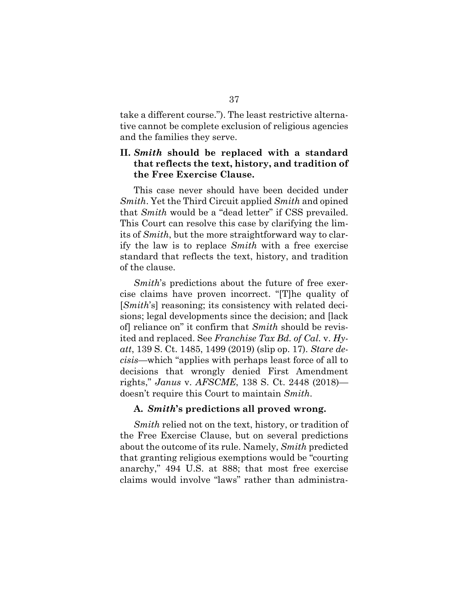take a different course."). The least restrictive alternative cannot be complete exclusion of religious agencies and the families they serve.

## **II.** *Smith* **should be replaced with a standard that reflects the text, history, and tradition of the Free Exercise Clause.**

This case never should have been decided under *Smith*. Yet the Third Circuit applied *Smith* and opined that *Smith* would be a "dead letter" if CSS prevailed. This Court can resolve this case by clarifying the limits of *Smith*, but the more straightforward way to clarify the law is to replace *Smith* with a free exercise standard that reflects the text, history, and tradition of the clause.

*Smith*'s predictions about the future of free exercise claims have proven incorrect. "[T]he quality of [*Smith*'s] reasoning; its consistency with related decisions; legal developments since the decision; and [lack of] reliance on" it confirm that *Smith* should be revisited and replaced. See *Franchise Tax Bd. of Cal.* v. *Hyatt*, 139 S. Ct. 1485, 1499 (2019) (slip op. 17). *Stare decisis*—which "applies with perhaps least force of all to decisions that wrongly denied First Amendment rights," *Janus* v. *AFSCME*, 138 S. Ct. 2448 (2018) doesn't require this Court to maintain *Smith*.

#### **A.** *Smith***'s predictions all proved wrong.**

*Smith* relied not on the text, history, or tradition of the Free Exercise Clause, but on several predictions about the outcome of its rule. Namely, *Smith* predicted that granting religious exemptions would be "courting anarchy," 494 U.S. at 888; that most free exercise claims would involve "laws" rather than administra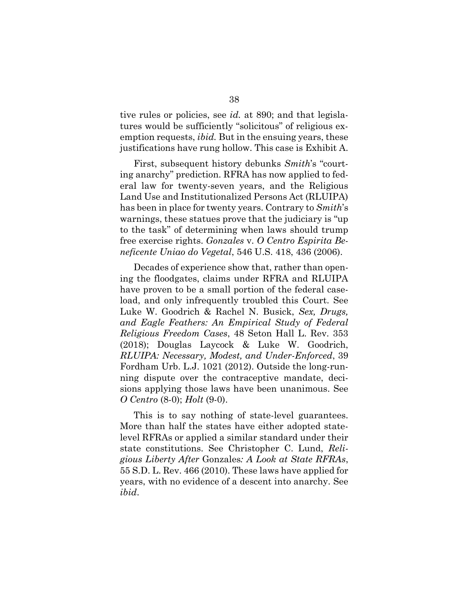tive rules or policies, see *id.* at 890; and that legislatures would be sufficiently "solicitous" of religious exemption requests, *ibid.* But in the ensuing years, these justifications have rung hollow. This case is Exhibit A.

First, subsequent history debunks *Smith*'s "courting anarchy" prediction. RFRA has now applied to federal law for twenty-seven years, and the Religious Land Use and Institutionalized Persons Act (RLUIPA) has been in place for twenty years. Contrary to *Smith*'s warnings, these statues prove that the judiciary is "up to the task" of determining when laws should trump free exercise rights. *Gonzales* v. *O Centro Espirita Beneficente Uniao do Vegetal*, 546 U.S. 418, 436 (2006).

Decades of experience show that, rather than opening the floodgates, claims under RFRA and RLUIPA have proven to be a small portion of the federal caseload, and only infrequently troubled this Court. See Luke W. Goodrich & Rachel N. Busick, *Sex, Drugs, and Eagle Feathers: An Empirical Study of Federal Religious Freedom Cases*, 48 Seton Hall L. Rev. 353 (2018); Douglas Laycock & Luke W. Goodrich, *RLUIPA: Necessary, Modest, and Under-Enforced*, 39 Fordham Urb. L.J. 1021 (2012). Outside the long-running dispute over the contraceptive mandate, decisions applying those laws have been unanimous. See *O Centro* (8-0); *Holt* (9-0).

This is to say nothing of state-level guarantees. More than half the states have either adopted statelevel RFRAs or applied a similar standard under their state constitutions. See Christopher C. Lund, *Religious Liberty After* Gonzales*: A Look at State RFRAs*, 55 S.D. L. Rev. 466 (2010). These laws have applied for years, with no evidence of a descent into anarchy. See *ibid*.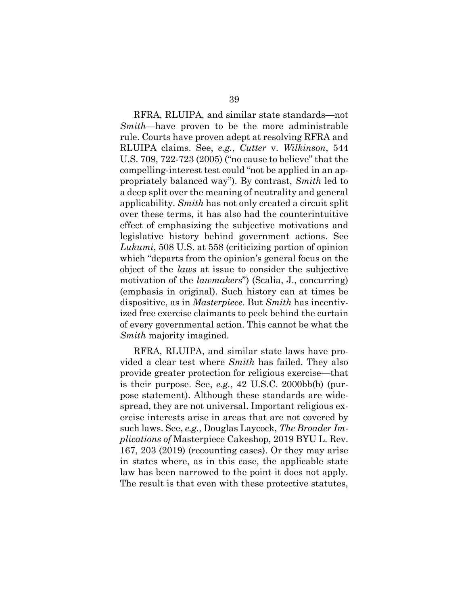RFRA, RLUIPA, and similar state standards—not *Smith*—have proven to be the more administrable rule. Courts have proven adept at resolving RFRA and RLUIPA claims. See, *e.g.*, *Cutter* v. *Wilkinson*, 544 U.S. 709, 722-723 (2005) ("no cause to believe" that the compelling-interest test could "not be applied in an appropriately balanced way"). By contrast, *Smith* led to a deep split over the meaning of neutrality and general applicability. *Smith* has not only created a circuit split over these terms, it has also had the counterintuitive effect of emphasizing the subjective motivations and legislative history behind government actions. See *Lukumi*, 508 U.S. at 558 (criticizing portion of opinion which "departs from the opinion's general focus on the object of the *laws* at issue to consider the subjective motivation of the *lawmakers*") (Scalia, J., concurring) (emphasis in original). Such history can at times be dispositive, as in *Masterpiece*. But *Smith* has incentivized free exercise claimants to peek behind the curtain of every governmental action. This cannot be what the *Smith* majority imagined.

RFRA, RLUIPA, and similar state laws have provided a clear test where *Smith* has failed. They also provide greater protection for religious exercise—that is their purpose. See, *e.g.*, 42 U.S.C. 2000bb(b) (purpose statement). Although these standards are widespread, they are not universal. Important religious exercise interests arise in areas that are not covered by such laws. See, *e.g.*, Douglas Laycock, *The Broader Implications of* Masterpiece Cakeshop, 2019 BYU L. Rev. 167, 203 (2019) (recounting cases). Or they may arise in states where, as in this case, the applicable state law has been narrowed to the point it does not apply. The result is that even with these protective statutes,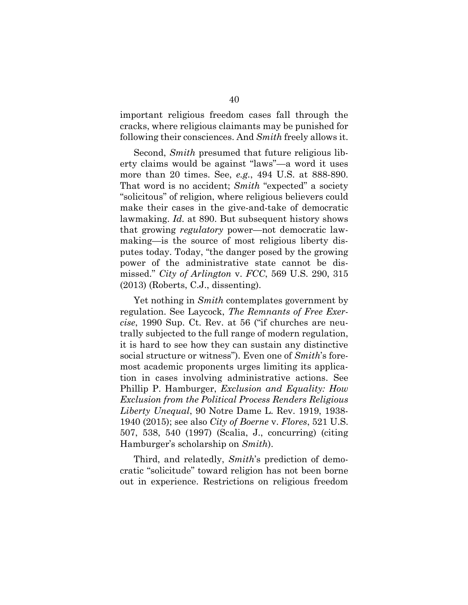important religious freedom cases fall through the cracks, where religious claimants may be punished for following their consciences. And *Smith* freely allows it.

Second, *Smith* presumed that future religious liberty claims would be against "laws"—a word it uses more than 20 times. See, *e.g.*, 494 U.S. at 888-890. That word is no accident; *Smith* "expected" a society "solicitous" of religion, where religious believers could make their cases in the give-and-take of democratic lawmaking. *Id.* at 890. But subsequent history shows that growing *regulatory* power—not democratic lawmaking—is the source of most religious liberty disputes today. Today, "the danger posed by the growing power of the administrative state cannot be dismissed." *City of Arlington* v. *FCC*, 569 U.S. 290, 315 (2013) (Roberts, C.J., dissenting).

Yet nothing in *Smith* contemplates government by regulation. See Laycock, *The Remnants of Free Exercise*, 1990 Sup. Ct. Rev. at 56 ("if churches are neutrally subjected to the full range of modern regulation, it is hard to see how they can sustain any distinctive social structure or witness"). Even one of *Smith*'s foremost academic proponents urges limiting its application in cases involving administrative actions. See Phillip P. Hamburger, *Exclusion and Equality: How Exclusion from the Political Process Renders Religious Liberty Unequal*, 90 Notre Dame L. Rev. 1919, 1938- 1940 (2015); see also *City of Boerne* v. *Flores*, 521 U.S. 507, 538, 540 (1997) (Scalia, J., concurring) (citing Hamburger's scholarship on *Smith*).

Third, and relatedly, *Smith*'s prediction of democratic "solicitude" toward religion has not been borne out in experience. Restrictions on religious freedom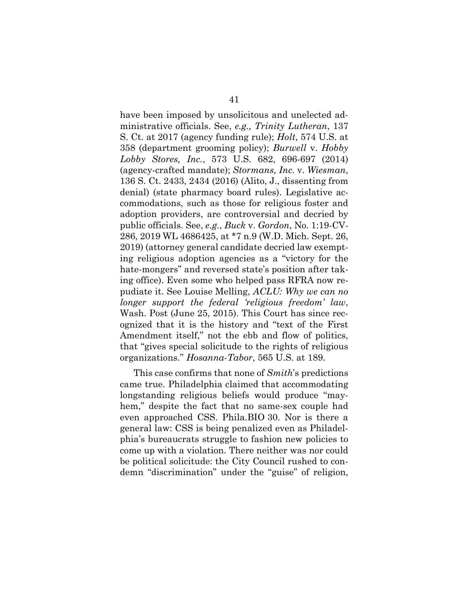have been imposed by unsolicitous and unelected administrative officials. See, *e.g., Trinity Lutheran*, 137 S. Ct. at 2017 (agency funding rule); *Holt*, 574 U.S. at 358 (department grooming policy); *Burwell* v. *Hobby Lobby Stores, Inc.*, 573 U.S. 682, 696-697 (2014) (agency-crafted mandate); *Stormans, Inc.* v. *Wiesman*, 136 S. Ct. 2433, 2434 (2016) (Alito, J., dissenting from denial) (state pharmacy board rules). Legislative accommodations, such as those for religious foster and adoption providers, are controversial and decried by public officials. See, *e.g.*, *Buck* v. *Gordon*, No. 1:19-CV-286, 2019 WL 4686425, at \*7 n.9 (W.D. Mich. Sept. 26, 2019) (attorney general candidate decried law exempting religious adoption agencies as a "victory for the hate-mongers" and reversed state's position after taking office). Even some who helped pass RFRA now repudiate it. See Louise Melling, *ACLU: Why we can no longer support the federal 'religious freedom' law*, Wash. Post (June 25, 2015). This Court has since recognized that it is the history and "text of the First Amendment itself," not the ebb and flow of politics, that "gives special solicitude to the rights of religious organizations." *Hosanna-Tabor*, 565 U.S. at 189.

This case confirms that none of *Smith*'s predictions came true. Philadelphia claimed that accommodating longstanding religious beliefs would produce "mayhem," despite the fact that no same-sex couple had even approached CSS. Phila.BIO 30. Nor is there a general law: CSS is being penalized even as Philadelphia's bureaucrats struggle to fashion new policies to come up with a violation. There neither was nor could be political solicitude: the City Council rushed to condemn "discrimination" under the "guise" of religion,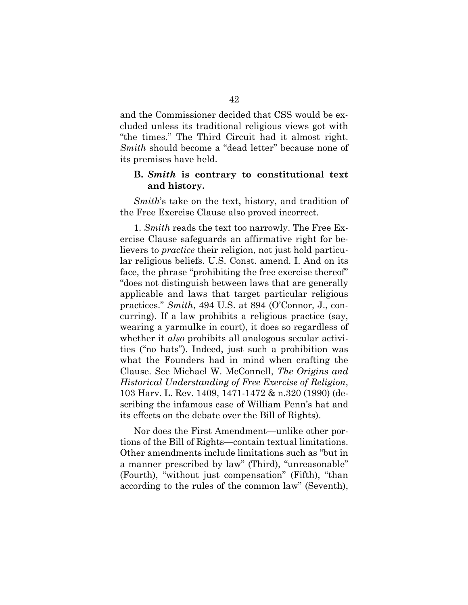and the Commissioner decided that CSS would be excluded unless its traditional religious views got with "the times." The Third Circuit had it almost right. *Smith* should become a "dead letter" because none of its premises have held.

#### **B.** *Smith* **is contrary to constitutional text and history.**

*Smith*'s take on the text, history, and tradition of the Free Exercise Clause also proved incorrect.

1. *Smith* reads the text too narrowly. The Free Exercise Clause safeguards an affirmative right for believers to *practice* their religion, not just hold particular religious beliefs. U.S. Const. amend. I. And on its face, the phrase "prohibiting the free exercise thereof" "does not distinguish between laws that are generally applicable and laws that target particular religious practices." *Smith*, 494 U.S. at 894 (O'Connor, J., concurring). If a law prohibits a religious practice (say, wearing a yarmulke in court), it does so regardless of whether it *also* prohibits all analogous secular activities ("no hats"). Indeed, just such a prohibition was what the Founders had in mind when crafting the Clause. See Michael W. McConnell, *The Origins and Historical Understanding of Free Exercise of Religion*, 103 Harv. L. Rev. 1409, 1471-1472 & n.320 (1990) (describing the infamous case of William Penn's hat and its effects on the debate over the Bill of Rights).

Nor does the First Amendment—unlike other portions of the Bill of Rights—contain textual limitations. Other amendments include limitations such as "but in a manner prescribed by law" (Third), "unreasonable" (Fourth), "without just compensation" (Fifth), "than according to the rules of the common law" (Seventh),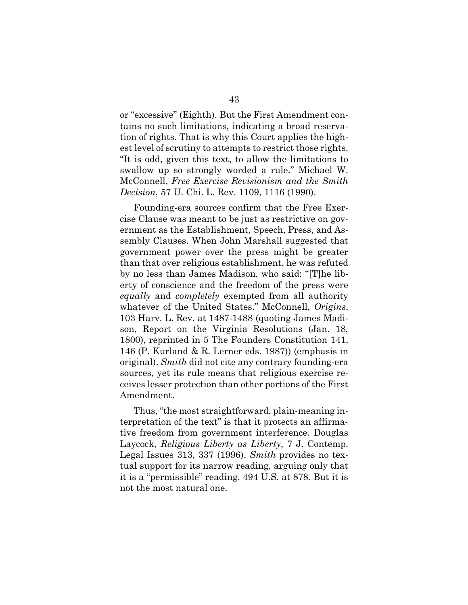or "excessive" (Eighth). But the First Amendment contains no such limitations, indicating a broad reservation of rights. That is why this Court applies the highest level of scrutiny to attempts to restrict those rights. "It is odd, given this text, to allow the limitations to swallow up so strongly worded a rule." Michael W. McConnell, *Free Exercise Revisionism and the Smith Decision*, 57 U. Chi. L. Rev. 1109, 1116 (1990).

Founding-era sources confirm that the Free Exercise Clause was meant to be just as restrictive on government as the Establishment, Speech, Press, and Assembly Clauses. When John Marshall suggested that government power over the press might be greater than that over religious establishment, he was refuted by no less than James Madison, who said: "[T]he liberty of conscience and the freedom of the press were *equally* and *completely* exempted from all authority whatever of the United States." McConnell, *Origins*, 103 Harv. L. Rev. at 1487-1488 (quoting James Madison, Report on the Virginia Resolutions (Jan. 18, 1800), reprinted in 5 The Founders Constitution 141, 146 (P. Kurland & R. Lerner eds. 1987)) (emphasis in original). *Smith* did not cite any contrary founding-era sources, yet its rule means that religious exercise receives lesser protection than other portions of the First Amendment.

Thus, "the most straightforward, plain-meaning interpretation of the text" is that it protects an affirmative freedom from government interference. Douglas Laycock, *Religious Liberty as Liberty*, 7 J. Contemp. Legal Issues 313, 337 (1996). *Smith* provides no textual support for its narrow reading, arguing only that it is a "permissible" reading. 494 U.S. at 878. But it is not the most natural one.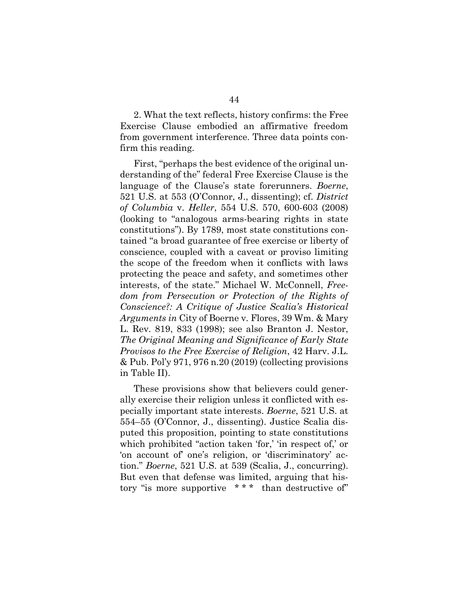2. What the text reflects, history confirms: the Free Exercise Clause embodied an affirmative freedom from government interference. Three data points confirm this reading.

First, "perhaps the best evidence of the original understanding of the" federal Free Exercise Clause is the language of the Clause's state forerunners. *Boerne*, 521 U.S. at 553 (O'Connor, J., dissenting); cf. *District of Columbia* v. *Heller*, 554 U.S. 570, 600-603 (2008) (looking to "analogous arms-bearing rights in state constitutions"). By 1789, most state constitutions contained "a broad guarantee of free exercise or liberty of conscience, coupled with a caveat or proviso limiting the scope of the freedom when it conflicts with laws protecting the peace and safety, and sometimes other interests, of the state." Michael W. McConnell, *Freedom from Persecution or Protection of the Rights of Conscience?: A Critique of Justice Scalia's Historical Arguments in* City of Boerne v. Flores, 39 Wm. & Mary L. Rev. 819, 833 (1998); see also Branton J. Nestor, *The Original Meaning and Significance of Early State Provisos to the Free Exercise of Religion*, 42 Harv. J.L. & Pub. Pol'y 971, 976 n.20 (2019) (collecting provisions in Table II).

These provisions show that believers could generally exercise their religion unless it conflicted with especially important state interests. *Boerne*, 521 U.S. at 554–55 (O'Connor, J., dissenting). Justice Scalia disputed this proposition, pointing to state constitutions which prohibited "action taken 'for,' 'in respect of,' or 'on account of' one's religion, or 'discriminatory' action." *Boerne*, 521 U.S. at 539 (Scalia, J., concurring). But even that defense was limited, arguing that history "is more supportive \* \* \* than destructive of"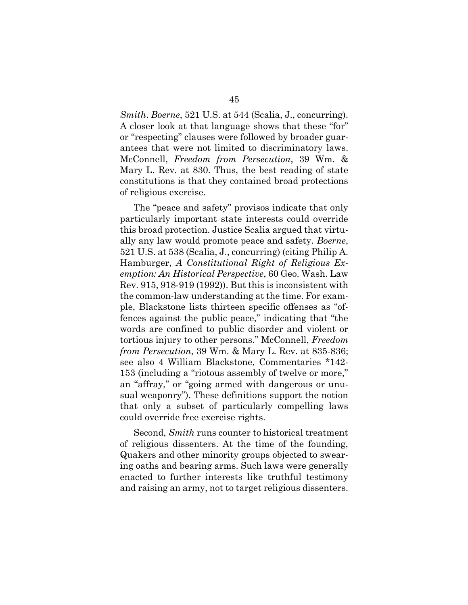*Smith*. *Boerne*, 521 U.S. at 544 (Scalia, J., concurring). A closer look at that language shows that these "for" or "respecting" clauses were followed by broader guarantees that were not limited to discriminatory laws. McConnell, *Freedom from Persecution*, 39 Wm. & Mary L. Rev. at 830. Thus, the best reading of state constitutions is that they contained broad protections of religious exercise.

The "peace and safety" provisos indicate that only particularly important state interests could override this broad protection. Justice Scalia argued that virtually any law would promote peace and safety. *Boerne*, 521 U.S. at 538 (Scalia, J., concurring) (citing Philip A. Hamburger, *A Constitutional Right of Religious Exemption: An Historical Perspective*, 60 Geo. Wash. Law Rev. 915, 918-919 (1992)). But this is inconsistent with the common-law understanding at the time. For example, Blackstone lists thirteen specific offenses as "offences against the public peace," indicating that "the words are confined to public disorder and violent or tortious injury to other persons." McConnell, *Freedom from Persecution*, 39 Wm. & Mary L. Rev. at 835-836; see also 4 William Blackstone, Commentaries \*142- 153 (including a "riotous assembly of twelve or more," an "affray," or "going armed with dangerous or unusual weaponry"). These definitions support the notion that only a subset of particularly compelling laws could override free exercise rights.

Second, *Smith* runs counter to historical treatment of religious dissenters. At the time of the founding, Quakers and other minority groups objected to swearing oaths and bearing arms. Such laws were generally enacted to further interests like truthful testimony and raising an army, not to target religious dissenters.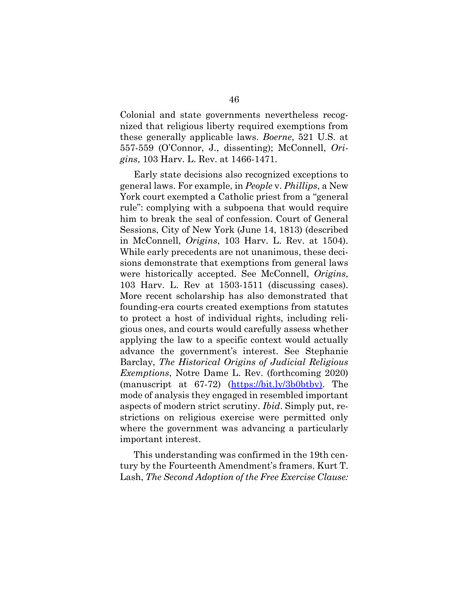Colonial and state governments nevertheless recognized that religious liberty required exemptions from these generally applicable laws. *Boerne*, 521 U.S. at 557-559 (O'Connor, J., dissenting); McConnell, *Origins*, 103 Harv. L. Rev. at 1466-1471.

Early state decisions also recognized exceptions to general laws. For example, in *People* v. *Phillips*, a New York court exempted a Catholic priest from a "general rule": complying with a subpoena that would require him to break the seal of confession. Court of General Sessions, City of New York (June 14, 1813) (described in McConnell, *Origins*, 103 Harv. L. Rev. at 1504). While early precedents are not unanimous, these decisions demonstrate that exemptions from general laws were historically accepted. See McConnell, *Origins*, 103 Harv. L. Rev at 1503-1511 (discussing cases). More recent scholarship has also demonstrated that founding-era courts created exemptions from statutes to protect a host of individual rights, including religious ones, and courts would carefully assess whether applying the law to a specific context would actually advance the government's interest. See Stephanie Barclay, *The Historical Origins of Judicial Religious Exemptions*, Notre Dame L. Rev. (forthcoming 2020) (manuscript at 67-72) [\(https://bit.ly/3b0btbv\)](https://bit.ly/3b0btbv). The mode of analysis they engaged in resembled important aspects of modern strict scrutiny. *Ibid*. Simply put, restrictions on religious exercise were permitted only where the government was advancing a particularly important interest.

This understanding was confirmed in the 19th century by the Fourteenth Amendment's framers. Kurt T. Lash, *The Second Adoption of the Free Exercise Clause:*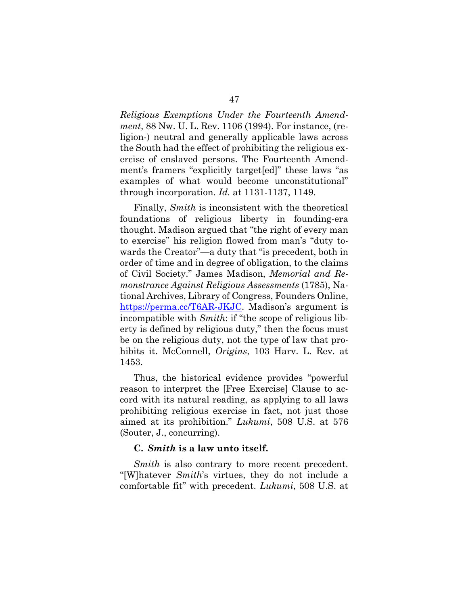*Religious Exemptions Under the Fourteenth Amendment*, 88 Nw. U. L. Rev. 1106 (1994). For instance, (religion-) neutral and generally applicable laws across the South had the effect of prohibiting the religious exercise of enslaved persons. The Fourteenth Amendment's framers "explicitly target[ed]" these laws "as examples of what would become unconstitutional" through incorporation. *Id.* at 1131-1137, 1149.

Finally, *Smith* is inconsistent with the theoretical foundations of religious liberty in founding-era thought. Madison argued that "the right of every man to exercise" his religion flowed from man's "duty towards the Creator"—a duty that "is precedent, both in order of time and in degree of obligation, to the claims of Civil Society." James Madison, *Memorial and Remonstrance Against Religious Assessments* (1785), National Archives, Library of Congress, Founders Online, [https://perma.cc/T6AR-JKJC.](https://perma.cc/T6AR-JKJC) Madison's argument is incompatible with *Smith*: if "the scope of religious liberty is defined by religious duty," then the focus must be on the religious duty, not the type of law that prohibits it. McConnell, *Origins*, 103 Harv. L. Rev. at 1453.

Thus, the historical evidence provides "powerful reason to interpret the [Free Exercise] Clause to accord with its natural reading, as applying to all laws prohibiting religious exercise in fact, not just those aimed at its prohibition." *Lukumi*, 508 U.S. at 576 (Souter, J., concurring).

#### **C.** *Smith* **is a law unto itself.**

*Smith* is also contrary to more recent precedent. "[W]hatever *Smith*'s virtues, they do not include a comfortable fit" with precedent. *Lukumi*, 508 U.S. at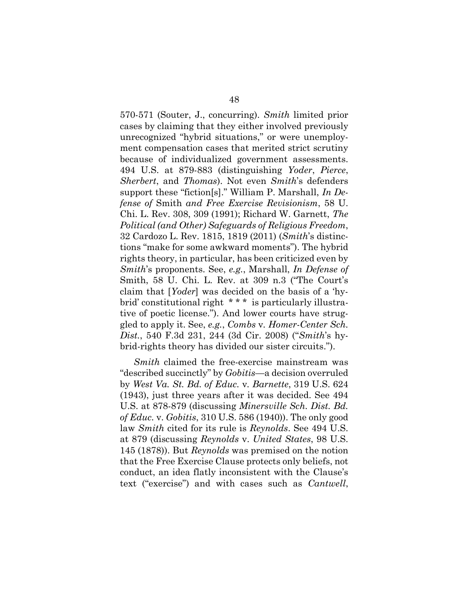570-571 (Souter, J., concurring). *Smith* limited prior cases by claiming that they either involved previously unrecognized "hybrid situations," or were unemployment compensation cases that merited strict scrutiny because of individualized government assessments. 494 U.S. at 879-883 (distinguishing *Yoder*, *Pierce*, *Sherbert*, and *Thomas*). Not even *Smith*'s defenders support these "fiction[s]." William P. Marshall, *In Defense of* Smith *and Free Exercise Revisionism*, 58 U. Chi. L. Rev. 308, 309 (1991); Richard W. Garnett, *The Political (and Other) Safeguards of Religious Freedom*, 32 Cardozo L. Rev. 1815, 1819 (2011) (*Smith*'s distinctions "make for some awkward moments"). The hybrid rights theory, in particular, has been criticized even by *Smith*'s proponents. See, *e.g.*, Marshall, *In Defense of* Smith, 58 U. Chi. L. Rev. at 309 n.3 ("The Court's claim that [*Yoder*] was decided on the basis of a 'hybrid' constitutional right \* \* \* is particularly illustrative of poetic license."). And lower courts have struggled to apply it. See, *e.g.*, *Combs* v*. Homer-Center Sch. Dist.*, 540 F.3d 231, 244 (3d Cir. 2008) ("*Smith*'s hybrid-rights theory has divided our sister circuits.").

*Smith* claimed the free-exercise mainstream was "described succinctly" by *Gobitis*—a decision overruled by *West Va. St. Bd. of Educ.* v*. Barnette*, 319 U.S. 624 (1943), just three years after it was decided. See 494 U.S. at 878-879 (discussing *Minersville Sch. Dist. Bd. of Educ.* v. *Gobitis*, 310 U.S. 586 (1940)). The only good law *Smith* cited for its rule is *Reynolds*. See 494 U.S. at 879 (discussing *Reynolds* v. *United States*, 98 U.S. 145 (1878)). But *Reynolds* was premised on the notion that the Free Exercise Clause protects only beliefs, not conduct, an idea flatly inconsistent with the Clause's text ("exercise") and with cases such as *Cantwell*,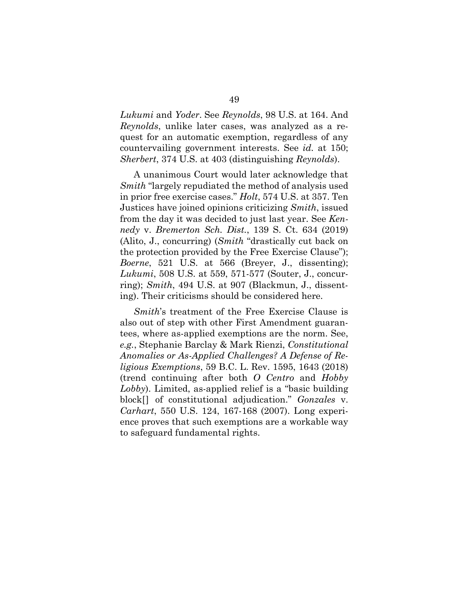*Lukumi* and *Yoder*. See *Reynolds*, 98 U.S. at 164. And *Reynolds*, unlike later cases, was analyzed as a request for an automatic exemption, regardless of any countervailing government interests. See *id.* at 150; *Sherbert*, 374 U.S. at 403 (distinguishing *Reynolds*).

A unanimous Court would later acknowledge that *Smith* "largely repudiated the method of analysis used in prior free exercise cases." *Holt*, 574 U.S. at 357. Ten Justices have joined opinions criticizing *Smith*, issued from the day it was decided to just last year. See *Kennedy* v. *Bremerton Sch. Dist.*, 139 S. Ct. 634 (2019) (Alito, J., concurring) (*Smith* "drastically cut back on the protection provided by the Free Exercise Clause"); *Boerne*, 521 U.S. at 566 (Breyer, J., dissenting); *Lukumi*, 508 U.S. at 559, 571-577 (Souter, J., concurring); *Smith*, 494 U.S. at 907 (Blackmun, J., dissenting). Their criticisms should be considered here.

*Smith*'s treatment of the Free Exercise Clause is also out of step with other First Amendment guarantees, where as-applied exemptions are the norm. See, *e.g.*, Stephanie Barclay & Mark Rienzi, *Constitutional Anomalies or As-Applied Challenges? A Defense of Religious Exemptions*, 59 B.C. L. Rev. 1595, 1643 (2018) (trend continuing after both *O Centro* and *Hobby Lobby*). Limited, as-applied relief is a "basic building block[] of constitutional adjudication." *Gonzales* v. *Carhart*, 550 U.S. 124, 167-168 (2007). Long experience proves that such exemptions are a workable way to safeguard fundamental rights.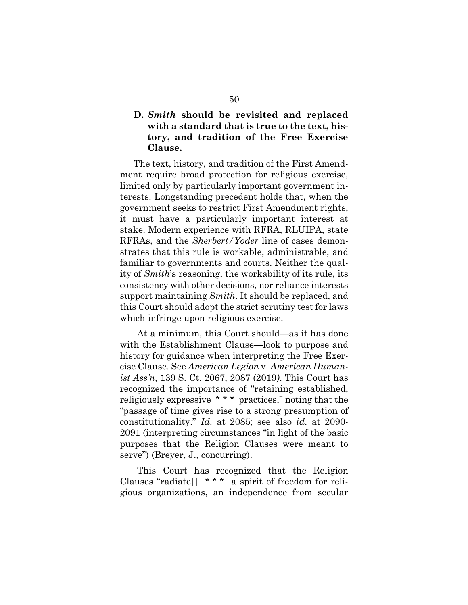## **D.** *Smith* **should be revisited and replaced with a standard that is true to the text, history, and tradition of the Free Exercise Clause.**

The text, history, and tradition of the First Amendment require broad protection for religious exercise, limited only by particularly important government interests. Longstanding precedent holds that, when the government seeks to restrict First Amendment rights, it must have a particularly important interest at stake. Modern experience with RFRA, RLUIPA, state RFRAs, and the *Sherbert/Yoder* line of cases demonstrates that this rule is workable, administrable, and familiar to governments and courts. Neither the quality of *Smith*'s reasoning, the workability of its rule, its consistency with other decisions, nor reliance interests support maintaining *Smith*. It should be replaced, and this Court should adopt the strict scrutiny test for laws which infringe upon religious exercise.

At a minimum, this Court should—as it has done with the Establishment Clause—look to purpose and history for guidance when interpreting the Free Exercise Clause. See *American Legion* v. *American Humanist Ass'n*, 139 S. Ct. 2067, 2087 (2019*)*. This Court has recognized the importance of "retaining established, religiously expressive \* \* \* practices," noting that the "passage of time gives rise to a strong presumption of constitutionality." *Id.* at 2085; see also *id.* at 2090- 2091 (interpreting circumstances "in light of the basic purposes that the Religion Clauses were meant to serve") (Breyer, J., concurring).

This Court has recognized that the Religion Clauses "radiate[] \* \* \* a spirit of freedom for religious organizations, an independence from secular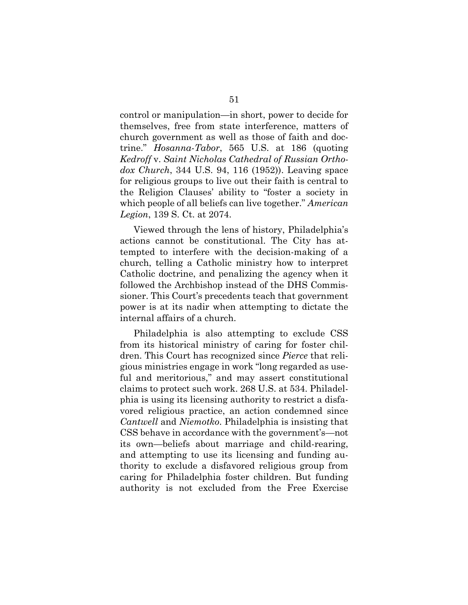control or manipulation—in short, power to decide for themselves, free from state interference, matters of church government as well as those of faith and doctrine." *Hosanna-Tabor*, 565 U.S. at 186 (quoting *Kedroff* v. *Saint Nicholas Cathedral of Russian Orthodox Church*, 344 U.S. 94, 116 (1952)). Leaving space for religious groups to live out their faith is central to the Religion Clauses' ability to "foster a society in which people of all beliefs can live together." *American Legion*, 139 S. Ct. at 2074.

Viewed through the lens of history, Philadelphia's actions cannot be constitutional. The City has attempted to interfere with the decision-making of a church, telling a Catholic ministry how to interpret Catholic doctrine, and penalizing the agency when it followed the Archbishop instead of the DHS Commissioner. This Court's precedents teach that government power is at its nadir when attempting to dictate the internal affairs of a church.

Philadelphia is also attempting to exclude CSS from its historical ministry of caring for foster children. This Court has recognized since *Pierce* that religious ministries engage in work "long regarded as useful and meritorious," and may assert constitutional claims to protect such work. 268 U.S. at 534. Philadelphia is using its licensing authority to restrict a disfavored religious practice, an action condemned since *Cantwell* and *Niemotko*. Philadelphia is insisting that CSS behave in accordance with the government's—not its own—beliefs about marriage and child-rearing, and attempting to use its licensing and funding authority to exclude a disfavored religious group from caring for Philadelphia foster children. But funding authority is not excluded from the Free Exercise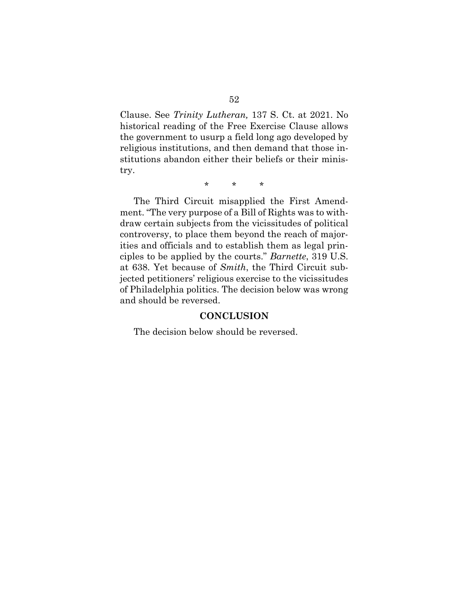Clause. See *Trinity Lutheran,* 137 S. Ct. at 2021. No historical reading of the Free Exercise Clause allows the government to usurp a field long ago developed by religious institutions, and then demand that those institutions abandon either their beliefs or their ministry.

\* \* \*

The Third Circuit misapplied the First Amendment. "The very purpose of a Bill of Rights was to withdraw certain subjects from the vicissitudes of political controversy, to place them beyond the reach of majorities and officials and to establish them as legal principles to be applied by the courts." *Barnette*, 319 U.S. at 638. Yet because of *Smith*, the Third Circuit subjected petitioners' religious exercise to the vicissitudes of Philadelphia politics. The decision below was wrong and should be reversed.

#### **CONCLUSION**

The decision below should be reversed.